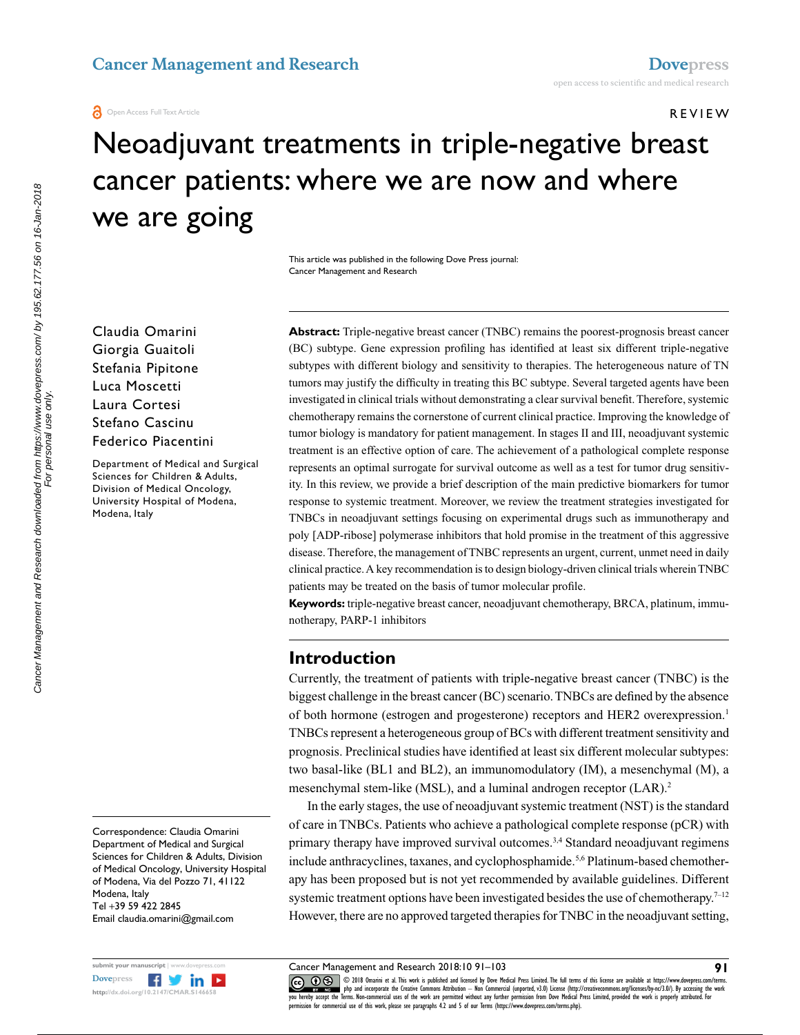#### **O** Open Access Full Text Article

#### Review

# Neoadjuvant treatments in triple-negative breast cancer patients: where we are now and where we are going

This article was published in the following Dove Press journal: Cancer Management and Research

Claudia Omarini Giorgia Guaitoli Stefania Pipitone Luca Moscetti Laura Cortesi Stefano Cascinu Federico Piacentini

Department of Medical and Surgical Sciences for Children & Adults, Division of Medical Oncology, University Hospital of Modena, Modena, Italy

Correspondence: Claudia Omarini Department of Medical and Surgical Sciences for Children & Adults, Division of Medical Oncology, University Hospital of Modena, Via del Pozzo 71, 41122 Modena, Italy Tel +39 59 422 2845 Email claudia.omarini@gmail.com



**Abstract:** Triple-negative breast cancer (TNBC) remains the poorest-prognosis breast cancer (BC) subtype. Gene expression profiling has identified at least six different triple-negative subtypes with different biology and sensitivity to therapies. The heterogeneous nature of TN tumors may justify the difficulty in treating this BC subtype. Several targeted agents have been investigated in clinical trials without demonstrating a clear survival benefit. Therefore, systemic chemotherapy remains the cornerstone of current clinical practice. Improving the knowledge of tumor biology is mandatory for patient management. In stages II and III, neoadjuvant systemic treatment is an effective option of care. The achievement of a pathological complete response represents an optimal surrogate for survival outcome as well as a test for tumor drug sensitivity. In this review, we provide a brief description of the main predictive biomarkers for tumor response to systemic treatment. Moreover, we review the treatment strategies investigated for TNBCs in neoadjuvant settings focusing on experimental drugs such as immunotherapy and poly [ADP-ribose] polymerase inhibitors that hold promise in the treatment of this aggressive disease. Therefore, the management of TNBC represents an urgent, current, unmet need in daily clinical practice. A key recommendation is to design biology-driven clinical trials wherein TNBC patients may be treated on the basis of tumor molecular profile.

**Keywords:** triple-negative breast cancer, neoadjuvant chemotherapy, BRCA, platinum, immunotherapy, PARP-1 inhibitors

## **Introduction**

Currently, the treatment of patients with triple-negative breast cancer (TNBC) is the biggest challenge in the breast cancer (BC) scenario. TNBCs are defined by the absence of both hormone (estrogen and progesterone) receptors and HER2 overexpression.<sup>1</sup> TNBCs represent a heterogeneous group of BCs with different treatment sensitivity and prognosis. Preclinical studies have identified at least six different molecular subtypes: two basal-like (BL1 and BL2), an immunomodulatory (IM), a mesenchymal (M), a mesenchymal stem-like (MSL), and a luminal androgen receptor (LAR).<sup>2</sup>

In the early stages, the use of neoadjuvant systemic treatment (NST) is the standard of care in TNBCs. Patients who achieve a pathological complete response (pCR) with primary therapy have improved survival outcomes.<sup>3,4</sup> Standard neoadjuvant regimens include anthracyclines, taxanes, and cyclophosphamide.<sup>5,6</sup> Platinum-based chemotherapy has been proposed but is not yet recommended by available guidelines. Different systemic treatment options have been investigated besides the use of chemotherapy.<sup>7–12</sup> However, there are no approved targeted therapies for TNBC in the neoadjuvant setting,

Cancer Management and Research 2018:10 91–103

CO 18 Omarini et al. This work is published and licensed by Dove Medical Press Limited. The full terms of this license are available at https://www.dovepress.com/terms.<br>Vou hereby accept the Terms. Non-commercial uses of t permission for commercial use of this work, please see paragraphs 4.2 and 5 of our Terms (https://www.dovepress.com/terms.php).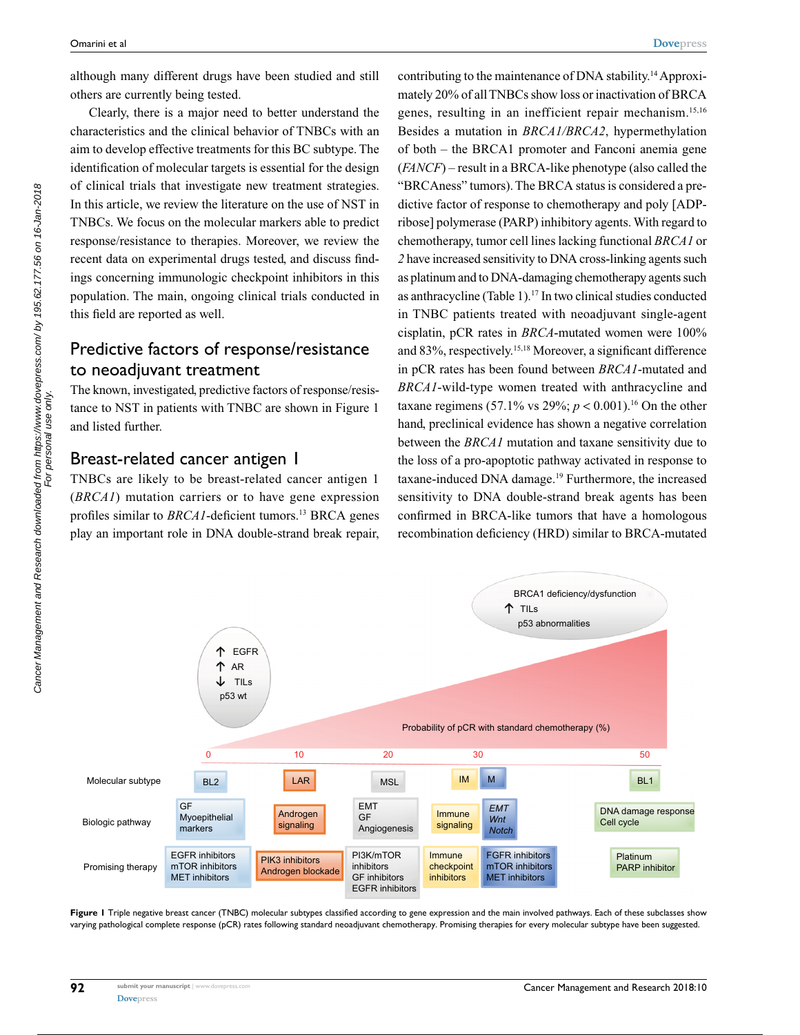although many different drugs have been studied and still others are currently being tested.

Clearly, there is a major need to better understand the characteristics and the clinical behavior of TNBCs with an aim to develop effective treatments for this BC subtype. The identification of molecular targets is essential for the design of clinical trials that investigate new treatment strategies. In this article, we review the literature on the use of NST in TNBCs. We focus on the molecular markers able to predict response/resistance to therapies. Moreover, we review the recent data on experimental drugs tested, and discuss findings concerning immunologic checkpoint inhibitors in this population. The main, ongoing clinical trials conducted in this field are reported as well.

# Predictive factors of response/resistance to neoadjuvant treatment

The known, investigated, predictive factors of response/resistance to NST in patients with TNBC are shown in Figure 1 and listed further.

#### Breast-related cancer antigen 1

TNBCs are likely to be breast-related cancer antigen 1 (*BRCA1*) mutation carriers or to have gene expression profiles similar to *BRCA1*-deficient tumors.<sup>13</sup> BRCA genes play an important role in DNA double-strand break repair, contributing to the maintenance of DNA stability.14 Approximately 20% of all TNBCs show loss or inactivation of BRCA genes, resulting in an inefficient repair mechanism.15,16 Besides a mutation in *BRCA1/BRCA2*, hypermethylation of both – the BRCA1 promoter and Fanconi anemia gene (*FANCF*) – result in a BRCA-like phenotype (also called the "BRCAness" tumors). The BRCA status is considered a predictive factor of response to chemotherapy and poly [ADPribose] polymerase (PARP) inhibitory agents. With regard to chemotherapy, tumor cell lines lacking functional *BRCA1* or *2* have increased sensitivity to DNA cross-linking agents such as platinum and to DNA-damaging chemotherapy agents such as anthracycline (Table 1).17 In two clinical studies conducted in TNBC patients treated with neoadjuvant single-agent cisplatin, pCR rates in *BRCA*-mutated women were 100% and 83%, respectively.15,18 Moreover, a significant difference in pCR rates has been found between *BRCA1*-mutated and *BRCA1*-wild-type women treated with anthracycline and taxane regimens (57.1% vs 29%;  $p < 0.001$ ).<sup>16</sup> On the other hand, preclinical evidence has shown a negative correlation between the *BRCA1* mutation and taxane sensitivity due to the loss of a pro-apoptotic pathway activated in response to taxane-induced DNA damage.19 Furthermore, the increased sensitivity to DNA double-strand break agents has been confirmed in BRCA-like tumors that have a homologous recombination deficiency (HRD) similar to BRCA-mutated



**Figure 1** Triple negative breast cancer (TNBC) molecular subtypes classified according to gene expression and the main involved pathways. Each of these subclasses show varying pathological complete response (pCR) rates following standard neoadjuvant chemotherapy. Promising therapies for every molecular subtype have been suggested.

For personal use only.

**92**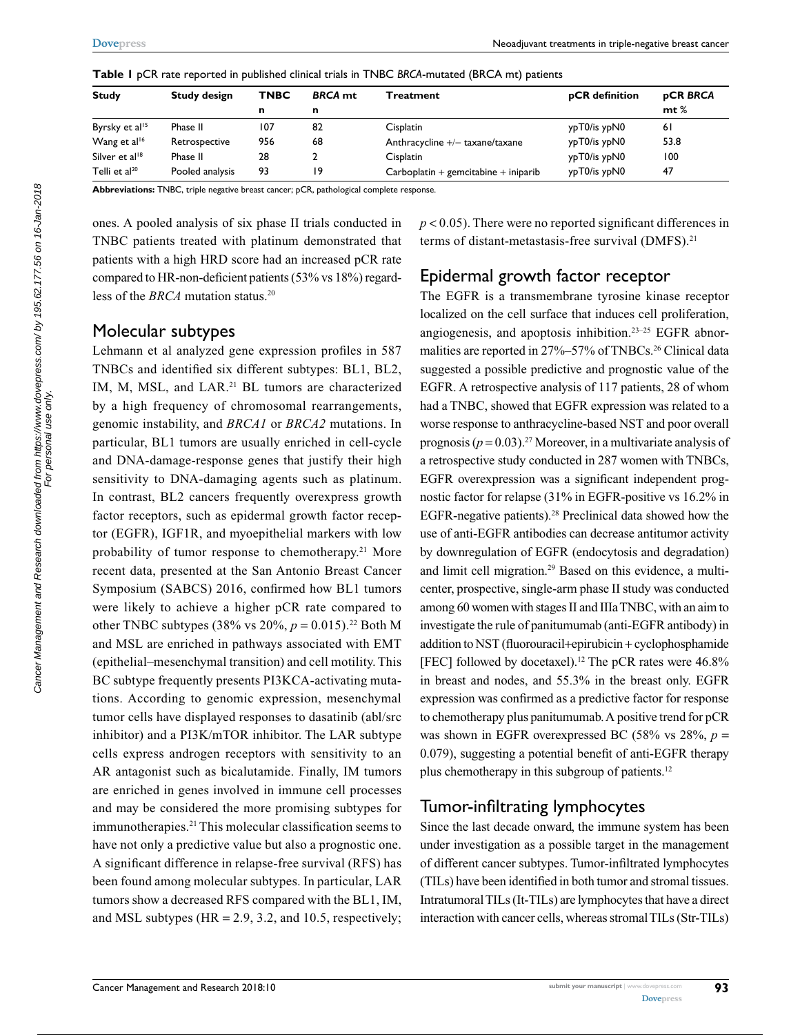| <b>Study</b>               | <b>Study design</b> | <b>TNBC</b> | <b>BRCA</b> mt | Treatment                                | pCR definition | <b>pCR BRCA</b> |  |
|----------------------------|---------------------|-------------|----------------|------------------------------------------|----------------|-----------------|--|
|                            |                     | n           | n              |                                          |                | $m t$ %         |  |
| Byrsky et al <sup>15</sup> | Phase II            | 107         | 82             | <b>Cisplatin</b>                         | ypT0/is ypN0   | 61              |  |
| Wang et al <sup>16</sup>   | Retrospective       | 956         | 68             | Anthracycline $+/-$ taxane/taxane        | ypT0/is ypN0   | 53.8            |  |
| Silver et al <sup>18</sup> | Phase II            | 28          |                | Cisplatin                                | ypT0/is ypN0   | 100             |  |
| Telli et al <sup>20</sup>  | Pooled analysis     | 93          | 19             | $Carboplation + genomication + iniparib$ | ypT0/is ypN0   | 47              |  |

**Table 1** pCR rate reported in published clinical trials in TNBC *BRCA*-mutated (BRCA mt) patients

**Abbreviations:** TNBC, triple negative breast cancer; pCR, pathological complete response.

ones. A pooled analysis of six phase II trials conducted in TNBC patients treated with platinum demonstrated that patients with a high HRD score had an increased pCR rate compared to HR-non-deficient patients (53% vs 18%) regardless of the *BRCA* mutation status.<sup>20</sup>

#### Molecular subtypes

Lehmann et al analyzed gene expression profiles in 587 TNBCs and identified six different subtypes: BL1, BL2, IM, M, MSL, and LAR.<sup>21</sup> BL tumors are characterized by a high frequency of chromosomal rearrangements, genomic instability, and *BRCA1* or *BRCA2* mutations. In particular, BL1 tumors are usually enriched in cell-cycle and DNA-damage-response genes that justify their high sensitivity to DNA-damaging agents such as platinum. In contrast, BL2 cancers frequently overexpress growth factor receptors, such as epidermal growth factor receptor (EGFR), IGF1R, and myoepithelial markers with low probability of tumor response to chemotherapy.21 More recent data, presented at the San Antonio Breast Cancer Symposium (SABCS) 2016, confirmed how BL1 tumors were likely to achieve a higher pCR rate compared to other TNBC subtypes (38% vs  $20\%$ ,  $p = 0.015$ ).<sup>22</sup> Both M and MSL are enriched in pathways associated with EMT (epithelial–mesenchymal transition) and cell motility. This BC subtype frequently presents PI3KCA-activating mutations. According to genomic expression, mesenchymal tumor cells have displayed responses to dasatinib (abl/src inhibitor) and a PI3K/mTOR inhibitor. The LAR subtype cells express androgen receptors with sensitivity to an AR antagonist such as bicalutamide. Finally, IM tumors are enriched in genes involved in immune cell processes and may be considered the more promising subtypes for immunotherapies.<sup>21</sup> This molecular classification seems to have not only a predictive value but also a prognostic one. A significant difference in relapse-free survival (RFS) has been found among molecular subtypes. In particular, LAR tumors show a decreased RFS compared with the BL1, IM, and MSL subtypes ( $HR = 2.9, 3.2,$  and 10.5, respectively;

 $p < 0.05$ ). There were no reported significant differences in terms of distant-metastasis-free survival (DMFS).<sup>21</sup>

# Epidermal growth factor receptor

The EGFR is a transmembrane tyrosine kinase receptor localized on the cell surface that induces cell proliferation, angiogenesis, and apoptosis inhibition.23–25 EGFR abnormalities are reported in 27%–57% of TNBCs.<sup>26</sup> Clinical data suggested a possible predictive and prognostic value of the EGFR. A retrospective analysis of 117 patients, 28 of whom had a TNBC, showed that EGFR expression was related to a worse response to anthracycline-based NST and poor overall prognosis  $(p = 0.03)$ .<sup>27</sup> Moreover, in a multivariate analysis of a retrospective study conducted in 287 women with TNBCs, EGFR overexpression was a significant independent prognostic factor for relapse (31% in EGFR-positive vs 16.2% in EGFR-negative patients).28 Preclinical data showed how the use of anti-EGFR antibodies can decrease antitumor activity by downregulation of EGFR (endocytosis and degradation) and limit cell migration.29 Based on this evidence, a multicenter, prospective, single-arm phase II study was conducted among 60 women with stages II and IIIa TNBC, with an aim to investigate the rule of panitumumab (anti-EGFR antibody) in addition to NST (fluorouracil+epirubicin + cyclophosphamide [FEC] followed by docetaxel).<sup>12</sup> The pCR rates were  $46.8\%$ in breast and nodes, and 55.3% in the breast only. EGFR expression was confirmed as a predictive factor for response to chemotherapy plus panitumumab. A positive trend for pCR was shown in EGFR overexpressed BC (58% vs  $28\%$ ,  $p =$ 0.079), suggesting a potential benefit of anti-EGFR therapy plus chemotherapy in this subgroup of patients.12

# Tumor-infiltrating lymphocytes

Since the last decade onward, the immune system has been under investigation as a possible target in the management of different cancer subtypes. Tumor-infiltrated lymphocytes (TILs) have been identified in both tumor and stromal tissues. Intratumoral TILs (It-TILs) are lymphocytes that have a direct interaction with cancer cells, whereas stromal TILs (Str-TILs)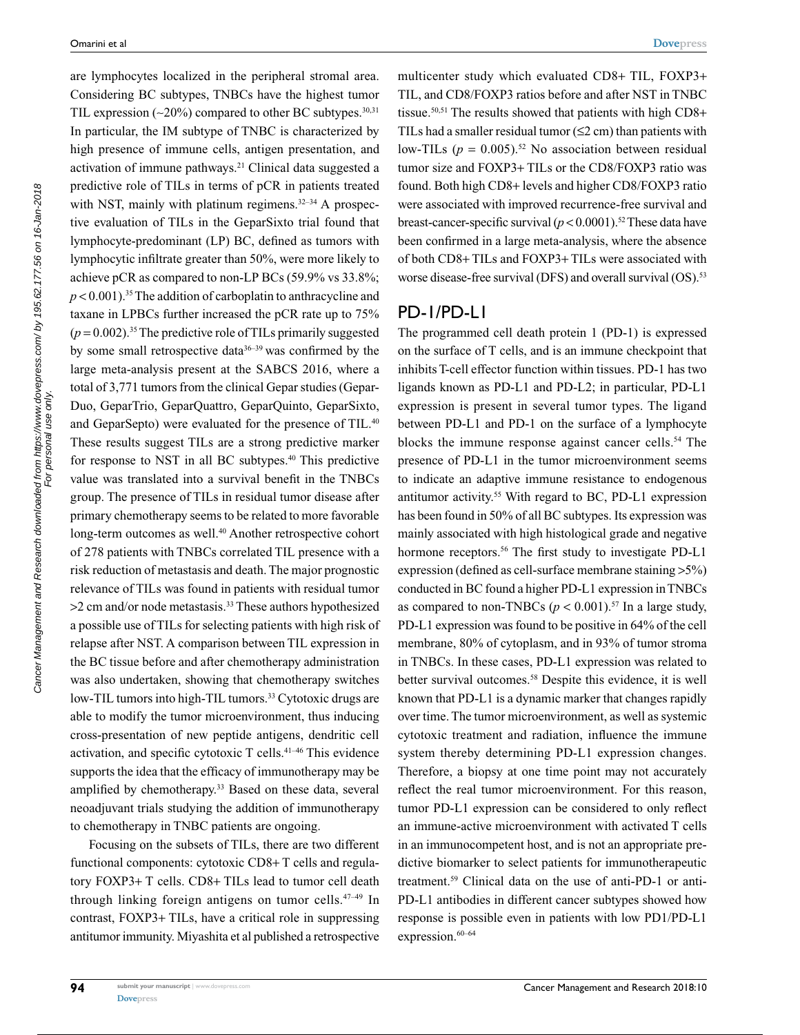are lymphocytes localized in the peripheral stromal area. Considering BC subtypes, TNBCs have the highest tumor TIL expression  $(-20\%)$  compared to other BC subtypes.<sup>30,31</sup> In particular, the IM subtype of TNBC is characterized by high presence of immune cells, antigen presentation, and activation of immune pathways.<sup>21</sup> Clinical data suggested a predictive role of TILs in terms of pCR in patients treated with NST, mainly with platinum regimens. $32-34$  A prospective evaluation of TILs in the GeparSixto trial found that lymphocyte-predominant (LP) BC, defined as tumors with lymphocytic infiltrate greater than 50%, were more likely to achieve pCR as compared to non-LP BCs (59.9% vs 33.8%;  $p < 0.001$ ).<sup>35</sup> The addition of carboplatin to anthracycline and taxane in LPBCs further increased the pCR rate up to 75%  $(p=0.002)$ <sup>35</sup>. The predictive role of TILs primarily suggested by some small retrospective data $36-39$  was confirmed by the large meta-analysis present at the SABCS 2016, where a total of 3,771 tumors from the clinical Gepar studies (Gepar-Duo, GeparTrio, GeparQuattro, GeparQuinto, GeparSixto, and GeparSepto) were evaluated for the presence of TIL.<sup>40</sup> These results suggest TILs are a strong predictive marker for response to NST in all BC subtypes.40 This predictive value was translated into a survival benefit in the TNBCs group. The presence of TILs in residual tumor disease after primary chemotherapy seems to be related to more favorable long-term outcomes as well.<sup>40</sup> Another retrospective cohort of 278 patients with TNBCs correlated TIL presence with a risk reduction of metastasis and death. The major prognostic relevance of TILs was found in patients with residual tumor >2 cm and/or node metastasis.<sup>33</sup> These authors hypothesized a possible use of TILs for selecting patients with high risk of relapse after NST. A comparison between TIL expression in the BC tissue before and after chemotherapy administration was also undertaken, showing that chemotherapy switches low-TIL tumors into high-TIL tumors.<sup>33</sup> Cytotoxic drugs are able to modify the tumor microenvironment, thus inducing cross-presentation of new peptide antigens, dendritic cell activation, and specific cytotoxic T cells.41–46 This evidence supports the idea that the efficacy of immunotherapy may be amplified by chemotherapy.<sup>33</sup> Based on these data, several neoadjuvant trials studying the addition of immunotherapy to chemotherapy in TNBC patients are ongoing.

Focusing on the subsets of TILs, there are two different functional components: cytotoxic CD8+ T cells and regulatory FOXP3+ T cells. CD8+ TILs lead to tumor cell death through linking foreign antigens on tumor cells. $47-49$  In contrast, FOXP3+ TILs, have a critical role in suppressing antitumor immunity. Miyashita et al published a retrospective

multicenter study which evaluated CD8+ TIL, FOXP3+ TIL, and CD8/FOXP3 ratios before and after NST in TNBC tissue.<sup>50,51</sup> The results showed that patients with high CD8+ TILs had a smaller residual tumor  $(\leq 2$  cm) than patients with low-TILs  $(p = 0.005)$ .<sup>52</sup> No association between residual tumor size and FOXP3+ TILs or the CD8/FOXP3 ratio was found. Both high CD8+ levels and higher CD8/FOXP3 ratio were associated with improved recurrence-free survival and breast-cancer-specific survival  $(p < 0.0001)$ .<sup>52</sup> These data have been confirmed in a large meta-analysis, where the absence of both CD8+ TILs and FOXP3+ TILs were associated with worse disease-free survival (DFS) and overall survival (OS).<sup>53</sup>

## PD-1/PD-L1

The programmed cell death protein 1 (PD-1) is expressed on the surface of T cells, and is an immune checkpoint that inhibits T-cell effector function within tissues. PD-1 has two ligands known as PD-L1 and PD-L2; in particular, PD-L1 expression is present in several tumor types. The ligand between PD-L1 and PD-1 on the surface of a lymphocyte blocks the immune response against cancer cells.<sup>54</sup> The presence of PD-L1 in the tumor microenvironment seems to indicate an adaptive immune resistance to endogenous antitumor activity.55 With regard to BC, PD-L1 expression has been found in 50% of all BC subtypes. Its expression was mainly associated with high histological grade and negative hormone receptors.<sup>56</sup> The first study to investigate PD-L1 expression (defined as cell-surface membrane staining >5%) conducted in BC found a higher PD-L1 expression in TNBCs as compared to non-TNBCs ( $p < 0.001$ ).<sup>57</sup> In a large study, PD-L1 expression was found to be positive in 64% of the cell membrane, 80% of cytoplasm, and in 93% of tumor stroma in TNBCs. In these cases, PD-L1 expression was related to better survival outcomes.<sup>58</sup> Despite this evidence, it is well known that PD-L1 is a dynamic marker that changes rapidly over time. The tumor microenvironment, as well as systemic cytotoxic treatment and radiation, influence the immune system thereby determining PD-L1 expression changes. Therefore, a biopsy at one time point may not accurately reflect the real tumor microenvironment. For this reason, tumor PD-L1 expression can be considered to only reflect an immune-active microenvironment with activated T cells in an immunocompetent host, and is not an appropriate predictive biomarker to select patients for immunotherapeutic treatment.59 Clinical data on the use of anti-PD-1 or anti-PD-L1 antibodies in different cancer subtypes showed how response is possible even in patients with low PD1/PD-L1 expression.<sup>60–64</sup>

**94**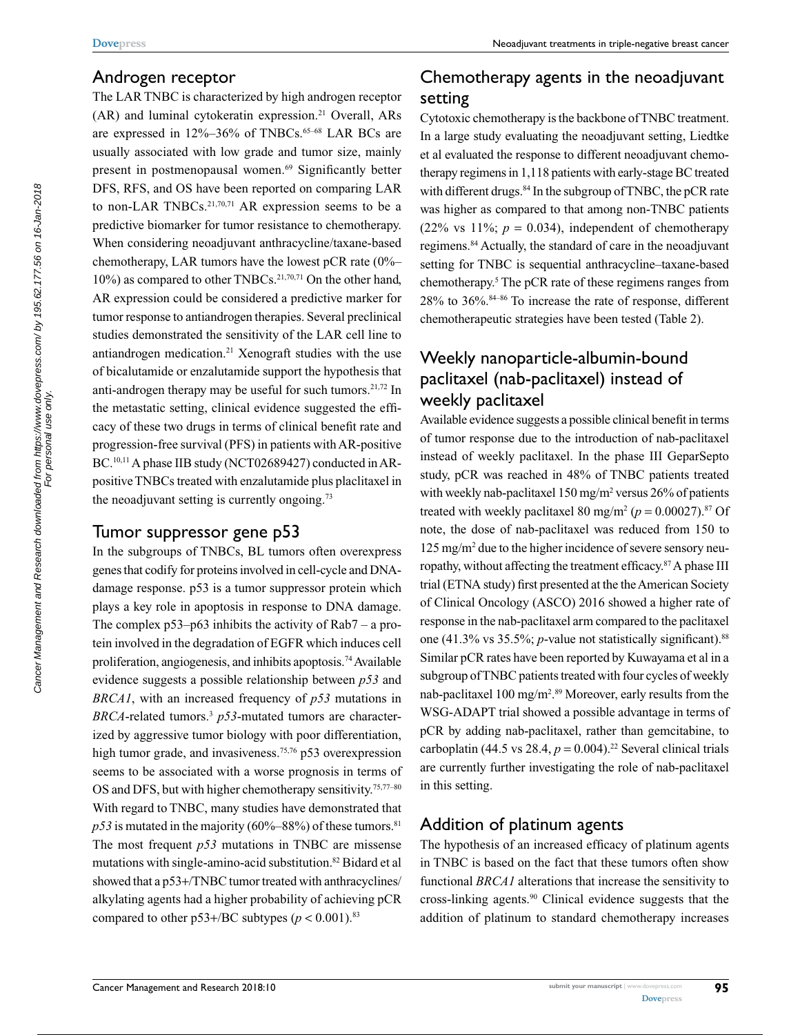#### Androgen receptor

The LAR TNBC is characterized by high androgen receptor (AR) and luminal cytokeratin expression.21 Overall, ARs are expressed in 12%–36% of TNBCs.<sup>65–68</sup> LAR BCs are usually associated with low grade and tumor size, mainly present in postmenopausal women.69 Significantly better DFS, RFS, and OS have been reported on comparing LAR to non-LAR TNBCs.<sup>21,70,71</sup> AR expression seems to be a predictive biomarker for tumor resistance to chemotherapy. When considering neoadjuvant anthracycline/taxane-based chemotherapy, LAR tumors have the lowest pCR rate  $(0\% 10\%$ ) as compared to other TNBCs.<sup>21,70,71</sup> On the other hand, AR expression could be considered a predictive marker for tumor response to antiandrogen therapies. Several preclinical studies demonstrated the sensitivity of the LAR cell line to antiandrogen medication.21 Xenograft studies with the use of bicalutamide or enzalutamide support the hypothesis that anti-androgen therapy may be useful for such tumors. $21,72$  In the metastatic setting, clinical evidence suggested the efficacy of these two drugs in terms of clinical benefit rate and progression-free survival (PFS) in patients with AR-positive BC.<sup>10,11</sup> A phase IIB study (NCT02689427) conducted in ARpositive TNBCs treated with enzalutamide plus placlitaxel in the neoadjuvant setting is currently ongoing.<sup>73</sup>

## Tumor suppressor gene p53

In the subgroups of TNBCs, BL tumors often overexpress genes that codify for proteins involved in cell-cycle and DNAdamage response. p53 is a tumor suppressor protein which plays a key role in apoptosis in response to DNA damage. The complex  $p53-p63$  inhibits the activity of Rab $7 - a$  protein involved in the degradation of EGFR which induces cell proliferation, angiogenesis, and inhibits apoptosis.74 Available evidence suggests a possible relationship between *p53* and *BRCA1*, with an increased frequency of *p53* mutations in *BRCA*-related tumors.3 *p53*-mutated tumors are characterized by aggressive tumor biology with poor differentiation, high tumor grade, and invasiveness.<sup>75,76</sup> p53 overexpression seems to be associated with a worse prognosis in terms of OS and DFS, but with higher chemotherapy sensitivity.<sup>75,77-80</sup> With regard to TNBC, many studies have demonstrated that  $p53$  is mutated in the majority (60%–88%) of these tumors.<sup>81</sup> The most frequent *p53* mutations in TNBC are missense mutations with single-amino-acid substitution.82 Bidard et al showed that a p53+/TNBC tumor treated with anthracyclines/ alkylating agents had a higher probability of achieving pCR compared to other  $p53+/BC$  subtypes ( $p < 0.001$ ).<sup>83</sup>

# Chemotherapy agents in the neoadjuvant setting

Cytotoxic chemotherapy is the backbone of TNBC treatment. In a large study evaluating the neoadjuvant setting, Liedtke et al evaluated the response to different neoadjuvant chemotherapy regimens in 1,118 patients with early-stage BC treated with different drugs.<sup>84</sup> In the subgroup of TNBC, the pCR rate was higher as compared to that among non-TNBC patients (22% vs  $11\%$ ;  $p = 0.034$ ), independent of chemotherapy regimens.84 Actually, the standard of care in the neoadjuvant setting for TNBC is sequential anthracycline–taxane-based chemotherapy.<sup>5</sup> The pCR rate of these regimens ranges from 28% to 36%.84–86 To increase the rate of response, different chemotherapeutic strategies have been tested (Table 2).

# Weekly nanoparticle-albumin-bound paclitaxel (nab-paclitaxel) instead of weekly paclitaxel

Available evidence suggests a possible clinical benefit in terms of tumor response due to the introduction of nab-paclitaxel instead of weekly paclitaxel. In the phase III GeparSepto study, pCR was reached in 48% of TNBC patients treated with weekly nab-paclitaxel  $150 \,\mathrm{mg/m^2}$  versus  $26\%$  of patients treated with weekly paclitaxel 80 mg/m<sup>2</sup> ( $p = 0.00027$ ).<sup>87</sup> Of note, the dose of nab-paclitaxel was reduced from 150 to 125 mg/m2 due to the higher incidence of severe sensory neuropathy, without affecting the treatment efficacy.87 A phase III trial (ETNA study) first presented at the the American Society of Clinical Oncology (ASCO) 2016 showed a higher rate of response in the nab-paclitaxel arm compared to the paclitaxel one (41.3% vs 35.5%; *p*-value not statistically significant).<sup>88</sup> Similar pCR rates have been reported by Kuwayama et al in a subgroup of TNBC patients treated with four cycles of weekly nab-paclitaxel 100 mg/m2 . 89 Moreover, early results from the WSG-ADAPT trial showed a possible advantage in terms of pCR by adding nab-paclitaxel, rather than gemcitabine, to carboplatin (44.5 vs 28.4,  $p = 0.004$ ).<sup>22</sup> Several clinical trials are currently further investigating the role of nab-paclitaxel in this setting.

# Addition of platinum agents

The hypothesis of an increased efficacy of platinum agents in TNBC is based on the fact that these tumors often show functional *BRCA1* alterations that increase the sensitivity to cross-linking agents.90 Clinical evidence suggests that the addition of platinum to standard chemotherapy increases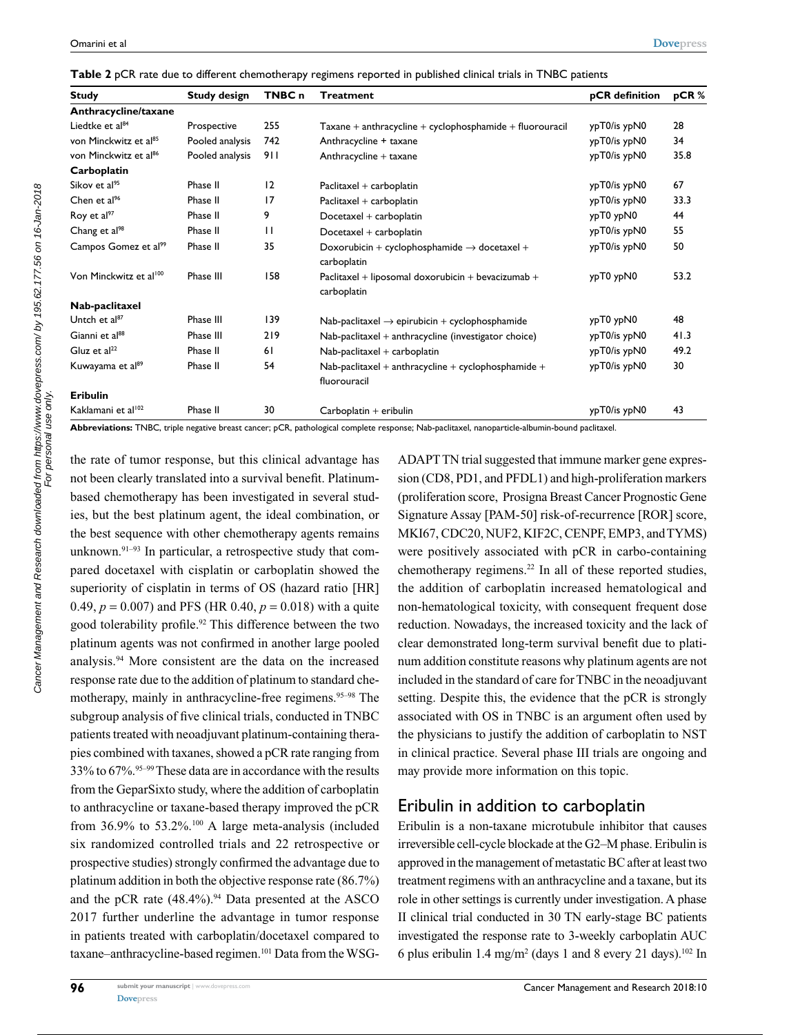|  |  |  |  | Table 2 pCR rate due to different chemotherapy regimens reported in published clinical trials in TNBC patients |  |  |  |  |  |  |  |
|--|--|--|--|----------------------------------------------------------------------------------------------------------------|--|--|--|--|--|--|--|
|--|--|--|--|----------------------------------------------------------------------------------------------------------------|--|--|--|--|--|--|--|

| <b>Study design</b><br><b>Study</b> |                 | TNBC <sub>n</sub> | Treatment                                                               | pCR definition | pCR% |  |
|-------------------------------------|-----------------|-------------------|-------------------------------------------------------------------------|----------------|------|--|
| Anthracycline/taxane                |                 |                   |                                                                         |                |      |  |
| Liedtke et al <sup>84</sup>         | Prospective     | 255               | $Taxane + anthracycline + cyclophosphamide + fluorouracil$              | ypT0/is ypN0   | 28   |  |
| von Minckwitz et al <sup>85</sup>   | Pooled analysis | 742               | Anthracycline + taxane                                                  | ypT0/is ypN0   | 34   |  |
| von Minckwitz et al <sup>86</sup>   | Pooled analysis | 911               | Anthracycline + taxane                                                  | ypT0/is ypN0   | 35.8 |  |
| Carboplatin                         |                 |                   |                                                                         |                |      |  |
| Sikov et al <sup>95</sup>           | Phase II        | 12                | Paclitaxel + carboplatin                                                | ypT0/is ypN0   | 67   |  |
| Chen et $al^{96}$                   | Phase II        | 17                | Paclitaxel + carboplatin                                                | ypT0/is ypN0   | 33.3 |  |
| Roy et al <sup>97</sup>             | Phase II        | 9                 | Docetaxel + carboplatin                                                 | ypT0 ypN0      | 44   |  |
| Chang et al <sup>98</sup>           | Phase II        | $\mathbf{H}$      | Docetaxel + carboplatin                                                 | ypT0/is ypN0   | 55   |  |
| Campos Gomez et al <sup>99</sup>    | Phase II        | 35                | Doxorubicin + cyclophosphamide $\rightarrow$ docetaxel +<br>carboplatin | ypT0/is ypN0   | 50   |  |
| Von Minckwitz et al <sup>100</sup>  | Phase III       | 158               | Paclitaxel + liposomal doxorubicin + bevacizumab +<br>carboplatin       | ypT0 ypN0      | 53.2 |  |
| Nab-paclitaxel                      |                 |                   |                                                                         |                |      |  |
| Untch et al <sup>87</sup>           | Phase III       | 139               | Nab-paclitaxel $\rightarrow$ epirubicin + cyclophosphamide              | ypT0 ypN0      | 48   |  |
| Gianni et al <sup>88</sup>          | Phase III       | 219               | Nab-paclitaxel + anthracycline (investigator choice)                    | ypT0/is ypN0   | 41.3 |  |
| Gluz et al <sup>22</sup>            | Phase II        | 61                | Nab-paclitaxel + carboplatin                                            | ypT0/is ypN0   | 49.2 |  |
| Kuwayama et al <sup>89</sup>        | Phase II        | 54                | Nab-paclitaxel + anthracycline + cyclophosphamide +<br>fluorouracil     | ypT0/is ypN0   | 30   |  |
| Eribulin                            |                 |                   |                                                                         |                |      |  |
| Kaklamani et al <sup>102</sup>      | Phase II        | 30                | Carboplatin + eribulin                                                  | ypT0/is ypN0   | 43   |  |

**Abbreviations:** TNBC, triple negative breast cancer; pCR, pathological complete response; Nab-paclitaxel, nanoparticle-albumin-bound paclitaxel.

the rate of tumor response, but this clinical advantage has not been clearly translated into a survival benefit. Platinumbased chemotherapy has been investigated in several studies, but the best platinum agent, the ideal combination, or the best sequence with other chemotherapy agents remains unknown. $91-93$  In particular, a retrospective study that compared docetaxel with cisplatin or carboplatin showed the superiority of cisplatin in terms of OS (hazard ratio [HR] 0.49,  $p = 0.007$ ) and PFS (HR 0.40,  $p = 0.018$ ) with a quite good tolerability profile.<sup>92</sup> This difference between the two platinum agents was not confirmed in another large pooled analysis.94 More consistent are the data on the increased response rate due to the addition of platinum to standard chemotherapy, mainly in anthracycline-free regimens.<sup>95-98</sup> The subgroup analysis of five clinical trials, conducted in TNBC patients treated with neoadjuvant platinum-containing therapies combined with taxanes, showed a pCR rate ranging from 33% to 67%.95–99 These data are in accordance with the results from the GeparSixto study, where the addition of carboplatin to anthracycline or taxane-based therapy improved the pCR from 36.9% to 53.2%.<sup>100</sup> A large meta-analysis (included six randomized controlled trials and 22 retrospective or prospective studies) strongly confirmed the advantage due to platinum addition in both the objective response rate (86.7%) and the pCR rate  $(48.4\%)$ .<sup>94</sup> Data presented at the ASCO 2017 further underline the advantage in tumor response in patients treated with carboplatin/docetaxel compared to taxane–anthracycline-based regimen.101 Data from the WSG-

ADAPT TN trial suggested that immune marker gene expression (CD8, PD1, and PFDL1) and high-proliferation markers (proliferation score, Prosigna Breast Cancer Prognostic Gene Signature Assay [PAM-50] risk-of-recurrence [ROR] score, MKI67, CDC20, NUF2, KIF2C, CENPF, EMP3, and TYMS) were positively associated with pCR in carbo-containing chemotherapy regimens.<sup>22</sup> In all of these reported studies, the addition of carboplatin increased hematological and non-hematological toxicity, with consequent frequent dose reduction. Nowadays, the increased toxicity and the lack of clear demonstrated long-term survival benefit due to platinum addition constitute reasons why platinum agents are not included in the standard of care for TNBC in the neoadjuvant setting. Despite this, the evidence that the pCR is strongly associated with OS in TNBC is an argument often used by the physicians to justify the addition of carboplatin to NST in clinical practice. Several phase III trials are ongoing and may provide more information on this topic.

## Eribulin in addition to carboplatin

Eribulin is a non-taxane microtubule inhibitor that causes irreversible cell-cycle blockade at the G2–M phase. Eribulin is approved in the management of metastatic BC after at least two treatment regimens with an anthracycline and a taxane, but its role in other settings is currently under investigation. A phase II clinical trial conducted in 30 TN early-stage BC patients investigated the response rate to 3-weekly carboplatin AUC 6 plus eribulin 1.4 mg/m<sup>2</sup> (days 1 and 8 every 21 days).<sup>102</sup> In

Cancer Management and Research downloaded from https://www.dovepress.com/ by 195.62.177.56 on 16-Jan-2018<br>For personal use only. Cancer Management and Research downloaded from https://www.dovepress.com/ by 195.62.177.56 on 16-Jan-2018 For personal use only.

**96**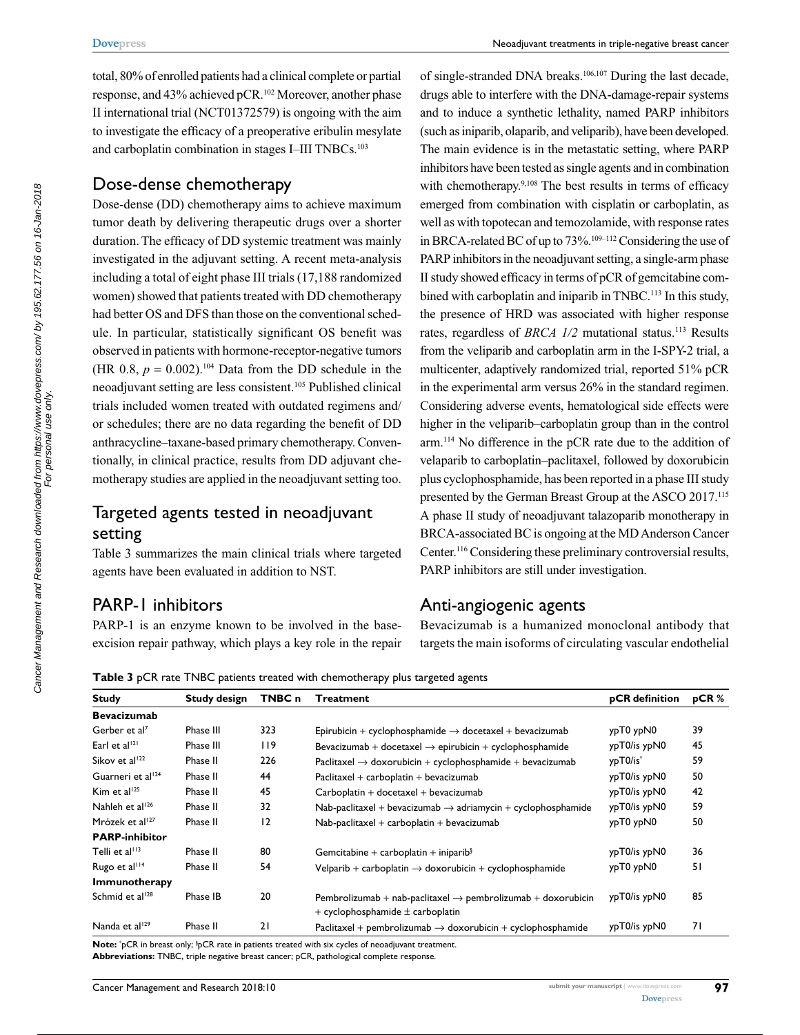total, 80% of enrolled patients had a clinical complete or partial response, and 43% achieved pCR.102 Moreover, another phase II international trial (NCT01372579) is ongoing with the aim to investigate the efficacy of a preoperative eribulin mesylate and carboplatin combination in stages I–III TNBCs.<sup>103</sup>

## Dose-dense chemotherapy

Dose-dense (DD) chemotherapy aims to achieve maximum tumor death by delivering therapeutic drugs over a shorter duration. The efficacy of DD systemic treatment was mainly investigated in the adjuvant setting. A recent meta-analysis including a total of eight phase III trials (17,188 randomized women) showed that patients treated with DD chemotherapy had better OS and DFS than those on the conventional schedule. In particular, statistically significant OS benefit was observed in patients with hormone-receptor-negative tumors (HR 0.8,  $p = 0.002$ ).<sup>104</sup> Data from the DD schedule in the neoadjuvant setting are less consistent.105 Published clinical trials included women treated with outdated regimens and/ or schedules; there are no data regarding the benefit of DD anthracycline–taxane-based primary chemotherapy. Conventionally, in clinical practice, results from DD adjuvant chemotherapy studies are applied in the neoadjuvant setting too.

# Targeted agents tested in neoadjuvant setting

Table 3 summarizes the main clinical trials where targeted agents have been evaluated in addition to NST.

# PARP-1 inhibitors

PARP-1 is an enzyme known to be involved in the baseexcision repair pathway, which plays a key role in the repair of single-stranded DNA breaks.106,107 During the last decade, drugs able to interfere with the DNA-damage-repair systems and to induce a synthetic lethality, named PARP inhibitors (such as iniparib, olaparib, and veliparib), have been developed. The main evidence is in the metastatic setting, where PARP inhibitors have been tested as single agents and in combination with chemotherapy.<sup>9,108</sup> The best results in terms of efficacy emerged from combination with cisplatin or carboplatin, as well as with topotecan and temozolamide, with response rates in BRCA-related BC of up to 73%.109–112 Considering the use of PARP inhibitors in the neoadjuvant setting, a single-arm phase II study showed efficacy in terms of pCR of gemcitabine combined with carboplatin and iniparib in TNBC.<sup>113</sup> In this study, the presence of HRD was associated with higher response rates, regardless of *BRCA 1/2* mutational status.<sup>113</sup> Results from the veliparib and carboplatin arm in the I-SPY-2 trial, a multicenter, adaptively randomized trial, reported 51% pCR in the experimental arm versus 26% in the standard regimen. Considering adverse events, hematological side effects were higher in the veliparib–carboplatin group than in the control arm.114 No difference in the pCR rate due to the addition of velaparib to carboplatin–paclitaxel, followed by doxorubicin plus cyclophosphamide, has been reported in a phase III study presented by the German Breast Group at the ASCO 2017.115 A phase II study of neoadjuvant talazoparib monotherapy in BRCA-associated BC is ongoing at the MD Anderson Cancer Center.116 Considering these preliminary controversial results, PARP inhibitors are still under investigation.

# Anti-angiogenic agents

Bevacizumab is a humanized monoclonal antibody that targets the main isoforms of circulating vascular endothelial

**Table 3** pCR rate TNBC patients treated with chemotherapy plus targeted agents

| <b>Study</b>                  | <b>Study design</b> | TNBC n | <b>Treatment</b>                                                                                                   | pCR definition | pCR% |
|-------------------------------|---------------------|--------|--------------------------------------------------------------------------------------------------------------------|----------------|------|
| <b>Bevacizumab</b>            |                     |        |                                                                                                                    |                |      |
| Gerber et al <sup>7</sup>     | Phase III           | 323    | Epirubicin + cyclophosphamide $\rightarrow$ docetaxel + bevacizumab                                                | ypT0 ypN0      | 39   |
| Earl et al <sup>121</sup>     | Phase III           | 119    | Bevacizumab + docetaxel $\rightarrow$ epirubicin + cyclophosphamide                                                | ypT0/is ypN0   | 45   |
| Sikov et al <sup>122</sup>    | Phase II            | 226    | Paclitaxel $\rightarrow$ doxorubicin + cyclophosphamide + bevacizumab                                              | ypT0/is*       | 59   |
| Guarneri et al <sup>124</sup> | Phase II            | 44     | Paclitaxel + carboplatin + bevacizumab                                                                             | ypT0/is ypN0   | 50   |
| Kim et al <sup>125</sup>      | Phase II            | 45     | $Carboplatin + docetaxel + bevacizumab$                                                                            | ypT0/is ypN0   | 42   |
| Nahleh et al <sup>126</sup>   | Phase II            | 32     | Nab-paclitaxel + bevacizumab $\rightarrow$ adriamycin + cyclophosphamide                                           | ypT0/is ypN0   | 59   |
| Mrózek et al <sup>127</sup>   | Phase II            | 12     | $Nab$ -paclitaxel + carboplatin + bevacizumab                                                                      | ypT0 ypN0      | 50   |
| <b>PARP-inhibitor</b>         |                     |        |                                                                                                                    |                |      |
| Telli et al <sup>113</sup>    | Phase II            | 80     | Gemcitabine + carboplatin + iniparib $\frac{1}{2}$                                                                 | ypT0/is ypN0   | 36   |
| Rugo et al <sup>114</sup>     | Phase II            | 54     | Velparib + carboplatin $\rightarrow$ doxorubicin + cyclophosphamide                                                | ypT0 ypN0      | 51   |
| Immunotherapy                 |                     |        |                                                                                                                    |                |      |
| Schmid et al <sup>128</sup>   | Phase IB            | 20     | Pembrolizumab + nab-paclitaxel $\rightarrow$ pembrolizumab + doxorubicin<br>$+$ cyclophosphamide $\pm$ carboplatin | ypT0/is ypN0   | 85   |
| Nanda et al <sup>129</sup>    | Phase II            | 21     | Paclitaxel + pembrolizumab $\rightarrow$ doxorubicin + cyclophosphamide                                            | ypT0/is ypN0   | 71   |
|                               |                     |        |                                                                                                                    |                |      |

Note: <sup>\*</sup>pCR in breast only; <sup>\$</sup>pCR rate in patients treated with six cycles of neoadjuvant treatment. **Abbreviations:** TNBC, triple negative breast cancer; pCR, pathological complete response.

**[Dovepress](www.dovepress.com)**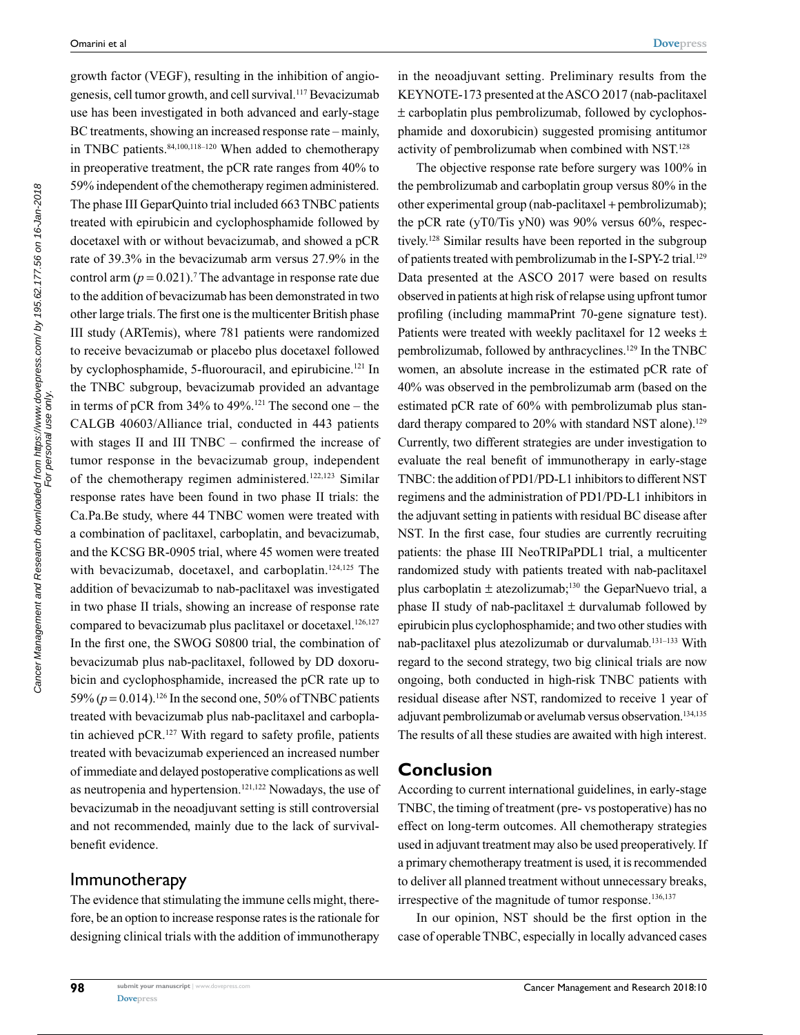Cancer Management and Research downloaded from https://www.dovepress.com/ by 195.62.177.56 on 16-Jan-2018<br>For personal use only. Cancer Management and Research downloaded from https://www.dovepress.com/ by 195.62.177.56 on 16-Jan-2018 For personal use only. growth factor (VEGF), resulting in the inhibition of angiogenesis, cell tumor growth, and cell survival.117 Bevacizumab use has been investigated in both advanced and early-stage BC treatments, showing an increased response rate – mainly, in TNBC patients.<sup>84,100,118–120</sup> When added to chemotherapy in preoperative treatment, the pCR rate ranges from 40% to 59% independent of the chemotherapy regimen administered. The phase III GeparQuinto trial included 663 TNBC patients treated with epirubicin and cyclophosphamide followed by docetaxel with or without bevacizumab, and showed a pCR rate of 39.3% in the bevacizumab arm versus 27.9% in the control arm  $(p = 0.021)$ .<sup>7</sup> The advantage in response rate due to the addition of bevacizumab has been demonstrated in two other large trials. The first one is the multicenter British phase III study (ARTemis), where 781 patients were randomized to receive bevacizumab or placebo plus docetaxel followed by cyclophosphamide, 5-fluorouracil, and epirubicine.<sup>121</sup> In the TNBC subgroup, bevacizumab provided an advantage in terms of pCR from  $34\%$  to  $49\%$ .<sup>121</sup> The second one – the CALGB 40603/Alliance trial, conducted in 443 patients with stages II and III TNBC – confirmed the increase of tumor response in the bevacizumab group, independent of the chemotherapy regimen administered.122,123 Similar response rates have been found in two phase II trials: the Ca.Pa.Be study, where 44 TNBC women were treated with a combination of paclitaxel, carboplatin, and bevacizumab, and the KCSG BR-0905 trial, where 45 women were treated with bevacizumab, docetaxel, and carboplatin.<sup>124,125</sup> The addition of bevacizumab to nab-paclitaxel was investigated in two phase II trials, showing an increase of response rate compared to bevacizumab plus paclitaxel or docetaxel.<sup>126,127</sup> In the first one, the SWOG S0800 trial, the combination of bevacizumab plus nab-paclitaxel, followed by DD doxorubicin and cyclophosphamide, increased the pCR rate up to 59% ( $p = 0.014$ ).<sup>126</sup> In the second one, 50% of TNBC patients treated with bevacizumab plus nab-paclitaxel and carboplatin achieved  $pCR$ <sup>127</sup> With regard to safety profile, patients treated with bevacizumab experienced an increased number of immediate and delayed postoperative complications as well as neutropenia and hypertension.121,122 Nowadays, the use of bevacizumab in the neoadjuvant setting is still controversial and not recommended, mainly due to the lack of survivalbenefit evidence.

#### Immunotherapy

The evidence that stimulating the immune cells might, therefore, be an option to increase response rates is the rationale for designing clinical trials with the addition of immunotherapy

in the neoadjuvant setting. Preliminary results from the KEYNOTE-173 presented at the ASCO 2017 (nab-paclitaxel ± carboplatin plus pembrolizumab, followed by cyclophosphamide and doxorubicin) suggested promising antitumor activity of pembrolizumab when combined with NST.128

The objective response rate before surgery was 100% in the pembrolizumab and carboplatin group versus 80% in the other experimental group (nab-paclitaxel + pembrolizumab); the pCR rate (yT0/Tis yN0) was 90% versus 60%, respectively.128 Similar results have been reported in the subgroup of patients treated with pembrolizumab in the I-SPY-2 trial.<sup>129</sup> Data presented at the ASCO 2017 were based on results observed in patients at high risk of relapse using upfront tumor profiling (including mammaPrint 70-gene signature test). Patients were treated with weekly paclitaxel for 12 weeks  $\pm$ pembrolizumab, followed by anthracyclines.129 In the TNBC women, an absolute increase in the estimated pCR rate of 40% was observed in the pembrolizumab arm (based on the estimated pCR rate of 60% with pembrolizumab plus standard therapy compared to 20% with standard NST alone).<sup>129</sup> Currently, two different strategies are under investigation to evaluate the real benefit of immunotherapy in early-stage TNBC: the addition of PD1/PD-L1 inhibitors to different NST regimens and the administration of PD1/PD-L1 inhibitors in the adjuvant setting in patients with residual BC disease after NST. In the first case, four studies are currently recruiting patients: the phase III NeoTRIPaPDL1 trial, a multicenter randomized study with patients treated with nab-paclitaxel plus carboplatin  $\pm$  atezolizumab;<sup>130</sup> the GeparNuevo trial, a phase II study of nab-paclitaxel  $\pm$  durvalumab followed by epirubicin plus cyclophosphamide; and two other studies with nab-paclitaxel plus atezolizumab or durvalumab.131–133 With regard to the second strategy, two big clinical trials are now ongoing, both conducted in high-risk TNBC patients with residual disease after NST, randomized to receive 1 year of adjuvant pembrolizumab or avelumab versus observation.<sup>134,135</sup> The results of all these studies are awaited with high interest.

#### **Conclusion**

According to current international guidelines, in early-stage TNBC, the timing of treatment (pre- vs postoperative) has no effect on long-term outcomes. All chemotherapy strategies used in adjuvant treatment may also be used preoperatively. If a primary chemotherapy treatment is used, it is recommended to deliver all planned treatment without unnecessary breaks, irrespective of the magnitude of tumor response.<sup>136,137</sup>

In our opinion, NST should be the first option in the case of operable TNBC, especially in locally advanced cases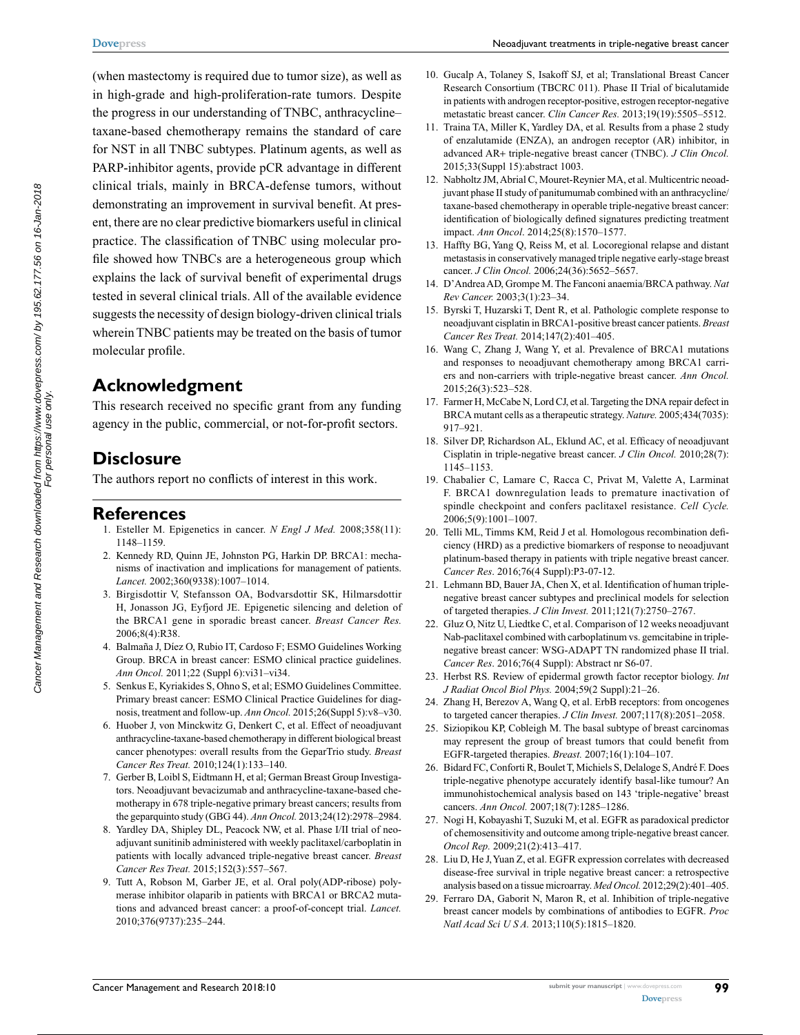(when mastectomy is required due to tumor size), as well as in high-grade and high-proliferation-rate tumors. Despite the progress in our understanding of TNBC, anthracycline– taxane-based chemotherapy remains the standard of care for NST in all TNBC subtypes. Platinum agents, as well as PARP-inhibitor agents, provide pCR advantage in different clinical trials, mainly in BRCA-defense tumors, without demonstrating an improvement in survival benefit. At present, there are no clear predictive biomarkers useful in clinical practice. The classification of TNBC using molecular profile showed how TNBCs are a heterogeneous group which explains the lack of survival benefit of experimental drugs tested in several clinical trials. All of the available evidence suggests the necessity of design biology-driven clinical trials wherein TNBC patients may be treated on the basis of tumor molecular profile.

# **Acknowledgment**

This research received no specific grant from any funding agency in the public, commercial, or not-for-profit sectors.

# **Disclosure**

The authors report no conflicts of interest in this work.

#### **References**

- 1. Esteller M. Epigenetics in cancer. *N Engl J Med.* 2008;358(11): 1148–1159.
- 2. Kennedy RD, Quinn JE, Johnston PG, Harkin DP. BRCA1: mechanisms of inactivation and implications for management of patients. *Lancet.* 2002;360(9338):1007–1014.
- 3. Birgisdottir V, Stefansson OA, Bodvarsdottir SK, Hilmarsdottir H, Jonasson JG, Eyfjord JE. Epigenetic silencing and deletion of the BRCA1 gene in sporadic breast cancer. *Breast Cancer Res.* 2006;8(4):R38.
- 4. Balmaña J, Díez O, Rubio IT, Cardoso F; ESMO Guidelines Working Group. BRCA in breast cancer: ESMO clinical practice guidelines. *Ann Oncol.* 2011;22 (Suppl 6):vi31–vi34.
- 5. Senkus E, Kyriakides S, Ohno S, et al; ESMO Guidelines Committee. Primary breast cancer: ESMO Clinical Practice Guidelines for diagnosis, treatment and follow-up. *Ann Oncol.* 2015;26(Suppl 5):v8–v30.
- 6. Huober J, von Minckwitz G, Denkert C, et al. Effect of neoadjuvant anthracycline-taxane-based chemotherapy in different biological breast cancer phenotypes: overall results from the GeparTrio study. *Breast Cancer Res Treat.* 2010;124(1):133–140.
- 7. Gerber B, Loibl S, Eidtmann H, et al; German Breast Group Investigators. Neoadjuvant bevacizumab and anthracycline-taxane-based chemotherapy in 678 triple-negative primary breast cancers; results from the geparquinto study (GBG 44). *Ann Oncol.* 2013;24(12):2978–2984.
- 8. Yardley DA, Shipley DL, Peacock NW, et al. Phase I/II trial of neoadjuvant sunitinib administered with weekly paclitaxel/carboplatin in patients with locally advanced triple-negative breast cancer. *Breast Cancer Res Treat.* 2015;152(3):557–567.
- 9. Tutt A, Robson M, Garber JE, et al. Oral poly(ADP-ribose) polymerase inhibitor olaparib in patients with BRCA1 or BRCA2 mutations and advanced breast cancer: a proof-of-concept trial. *Lancet.* 2010;376(9737):235–244.
- 10. Gucalp A, Tolaney S, Isakoff SJ, et al; Translational Breast Cancer Research Consortium (TBCRC 011). Phase II Trial of bicalutamide in patients with androgen receptor-positive, estrogen receptor-negative metastatic breast cancer. *Clin Cancer Res.* 2013;19(19):5505–5512.
- 11. Traina TA, Miller K, Yardley DA, et al*.* Results from a phase 2 study of enzalutamide (ENZA), an androgen receptor (AR) inhibitor, in advanced AR+ triple-negative breast cancer (TNBC). *J Clin Oncol.*  2015;33(Suppl 15):abstract 1003.
- 12. Nabholtz JM, Abrial C, Mouret-Reynier MA, et al. Multicentric neoadjuvant phase II study of panitumumab combined with an anthracycline/ taxane-based chemotherapy in operable triple-negative breast cancer: identification of biologically defined signatures predicting treatment impact. *Ann Oncol*. 2014;25(8):1570–1577.
- 13. Haffty BG, Yang Q, Reiss M, et al*.* Locoregional relapse and distant metastasis in conservatively managed triple negative early-stage breast cancer. *J Clin Oncol.* 2006;24(36):5652–5657.
- 14. D'Andrea AD, Grompe M. The Fanconi anaemia/BRCA pathway. *Nat Rev Cancer.* 2003;3(1):23–34.
- 15. Byrski T, Huzarski T, Dent R, et al. Pathologic complete response to neoadjuvant cisplatin in BRCA1-positive breast cancer patients. *Breast Cancer Res Treat.* 2014;147(2):401–405.
- 16. Wang C, Zhang J, Wang Y, et al. Prevalence of BRCA1 mutations and responses to neoadjuvant chemotherapy among BRCA1 carriers and non-carriers with triple-negative breast cancer. *Ann Oncol.* 2015;26(3):523–528.
- 17. Farmer H, McCabe N, Lord CJ, et al. Targeting the DNA repair defect in BRCA mutant cells as a therapeutic strategy. *Nature.* 2005;434(7035): 917–921.
- 18. Silver DP, Richardson AL, Eklund AC, et al. Efficacy of neoadjuvant Cisplatin in triple-negative breast cancer. *J Clin Oncol.* 2010;28(7): 1145–1153.
- 19. Chabalier C, Lamare C, Racca C, Privat M, Valette A, Larminat F. BRCA1 downregulation leads to premature inactivation of spindle checkpoint and confers paclitaxel resistance. *Cell Cycle.*  2006;5(9):1001–1007.
- 20. Telli ML, Timms KM, Reid J et al*.* Homologous recombination deficiency (HRD) as a predictive biomarkers of response to neoadjuvant platinum-based therapy in patients with triple negative breast cancer. *Cancer Res*. 2016;76(4 Suppl):P3-07-12.
- 21. Lehmann BD, Bauer JA, Chen X, et al. Identification of human triplenegative breast cancer subtypes and preclinical models for selection of targeted therapies. *J Clin Invest.* 2011;121(7):2750–2767.
- 22. Gluz O, Nitz U, Liedtke C, et al. Comparison of 12 weeks neoadjuvant Nab-paclitaxel combined with carboplatinum vs. gemcitabine in triplenegative breast cancer: WSG-ADAPT TN randomized phase II trial. *Cancer Res*. 2016;76(4 Suppl): Abstract nr S6-07.
- 23. Herbst RS. Review of epidermal growth factor receptor biology. *Int J Radiat Oncol Biol Phys.* 2004;59(2 Suppl):21–26.
- 24. Zhang H, Berezov A, Wang Q, et al. ErbB receptors: from oncogenes to targeted cancer therapies. *J Clin Invest.* 2007;117(8):2051–2058.
- 25. Siziopikou KP, Cobleigh M. The basal subtype of breast carcinomas may represent the group of breast tumors that could benefit from EGFR-targeted therapies. *Breast.* 2007;16(1):104–107.
- 26. Bidard FC, Conforti R, Boulet T, Michiels S, Delaloge S, André F. Does triple-negative phenotype accurately identify basal-like tumour? An immunohistochemical analysis based on 143 'triple-negative' breast cancers. *Ann Oncol.* 2007;18(7):1285–1286.
- 27. Nogi H, Kobayashi T, Suzuki M, et al. EGFR as paradoxical predictor of chemosensitivity and outcome among triple-negative breast cancer. *Oncol Rep.* 2009;21(2):413–417.
- 28. Liu D, He J, Yuan Z, et al. EGFR expression correlates with decreased disease-free survival in triple negative breast cancer: a retrospective analysis based on a tissue microarray. *Med Oncol.* 2012;29(2):401–405.
- 29. Ferraro DA, Gaborit N, Maron R, et al. Inhibition of triple-negative breast cancer models by combinations of antibodies to EGFR. *Proc Natl Acad Sci U S A.* 2013;110(5):1815–1820.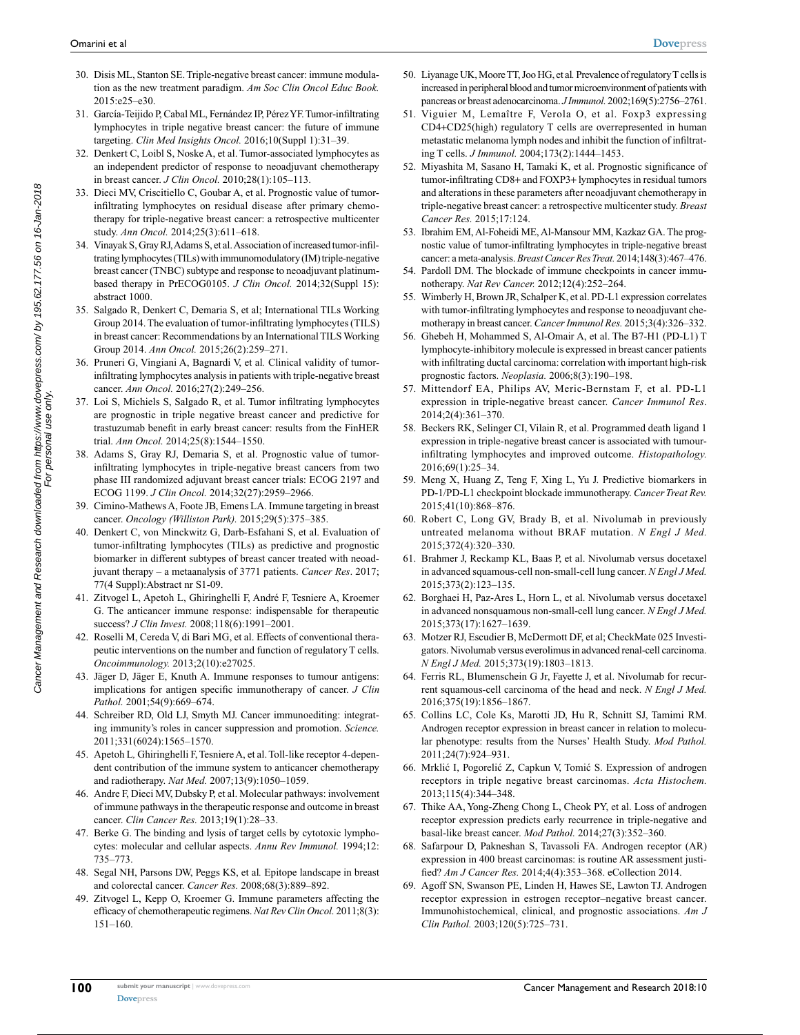- 30. Disis ML, Stanton SE. Triple-negative breast cancer: immune modulation as the new treatment paradigm. *Am Soc Clin Oncol Educ Book.*  2015:e25–e30.
- 31. García-Teijido P, Cabal ML, Fernández IP, Pérez YF. Tumor-infiltrating lymphocytes in triple negative breast cancer: the future of immune targeting. *Clin Med Insights Oncol.* 2016;10(Suppl 1):31–39.
- 32. Denkert C, Loibl S, Noske A, et al. Tumor-associated lymphocytes as an independent predictor of response to neoadjuvant chemotherapy in breast cancer. *J Clin Oncol.* 2010;28(1):105–113.
- 33. Dieci MV, Criscitiello C, Goubar A, et al. Prognostic value of tumorinfiltrating lymphocytes on residual disease after primary chemotherapy for triple-negative breast cancer: a retrospective multicenter study. *Ann Oncol.* 2014;25(3):611–618.
- 34. Vinayak S, Gray RJ, Adams S, et al. Association of increased tumor-infiltrating lymphocytes (TILs) with immunomodulatory (IM) triple-negative breast cancer (TNBC) subtype and response to neoadjuvant platinumbased therapy in PrECOG0105. *J Clin Oncol.* 2014;32(Suppl 15): abstract 1000.
- 35. Salgado R, Denkert C, Demaria S, et al; International TILs Working Group 2014. The evaluation of tumor-infiltrating lymphocytes (TILS) in breast cancer: Recommendations by an International TILS Working Group 2014. *Ann Oncol.* 2015;26(2):259–271.
- 36. Pruneri G, Vingiani A, Bagnardi V, et al*.* Clinical validity of tumorinfiltrating lymphocytes analysis in patients with triple-negative breast cancer. *Ann Oncol.* 2016;27(2):249–256.
- 37. Loi S, Michiels S, Salgado R, et al. Tumor infiltrating lymphocytes are prognostic in triple negative breast cancer and predictive for trastuzumab benefit in early breast cancer: results from the FinHER trial. *Ann Oncol.* 2014;25(8):1544–1550.
- 38. Adams S, Gray RJ, Demaria S, et al. Prognostic value of tumorinfiltrating lymphocytes in triple-negative breast cancers from two phase III randomized adjuvant breast cancer trials: ECOG 2197 and ECOG 1199. *J Clin Oncol.* 2014;32(27):2959–2966.
- 39. Cimino-Mathews A, Foote JB, Emens LA. Immune targeting in breast cancer. *Oncology (Williston Park).* 2015;29(5):375–385.
- 40. Denkert C, von Minckwitz G, Darb-Esfahani S, et al. Evaluation of tumor-infiltrating lymphocytes (TILs) as predictive and prognostic biomarker in different subtypes of breast cancer treated with neoadjuvant therapy – a metaanalysis of 3771 patients. *Cancer Res*. 2017; 77(4 Suppl):Abstract nr S1-09.
- 41. Zitvogel L, Apetoh L, Ghiringhelli F, André F, Tesniere A, Kroemer G. The anticancer immune response: indispensable for therapeutic success? *J Clin Invest.* 2008;118(6):1991–2001.
- 42. Roselli M, Cereda V, di Bari MG, et al. Effects of conventional therapeutic interventions on the number and function of regulatory T cells. *Oncoimmunology.* 2013;2(10):e27025.
- 43. Jäger D, Jäger E, Knuth A. Immune responses to tumour antigens: implications for antigen specific immunotherapy of cancer. *J Clin Pathol.* 2001;54(9):669–674.
- 44. Schreiber RD, Old LJ, Smyth MJ. Cancer immunoediting: integrating immunity's roles in cancer suppression and promotion. *Science.* 2011;331(6024):1565–1570.
- 45. Apetoh L*,* Ghiringhelli F, Tesniere A, et al. Toll-like receptor 4-dependent contribution of the immune system to anticancer chemotherapy and radiotherapy. *Nat Med.* 2007;13(9):1050–1059.
- 46. Andre F, Dieci MV, Dubsky P, et al. Molecular pathways: involvement of immune pathways in the therapeutic response and outcome in breast cancer. *Clin Cancer Res.* 2013;19(1):28–33.
- 47. Berke G. The binding and lysis of target cells by cytotoxic lymphocytes: molecular and cellular aspects. *Annu Rev Immunol.* 1994;12: 735–773.
- 48. Segal NH, Parsons DW, Peggs KS, et al*.* Epitope landscape in breast and colorectal cancer. *Cancer Res.* 2008;68(3):889–892.
- 49. Zitvogel L, Kepp O, Kroemer G. Immune parameters affecting the efficacy of chemotherapeutic regimens. *Nat Rev Clin Oncol.* 2011;8(3): 151–160.
- 50. Liyanage UK, Moore TT, Joo HG, et al*.* Prevalence of regulatory T cells is increased in peripheral blood and tumor microenvironment of patients with pancreas or breast adenocarcinoma. *J Immunol.* 2002;169(5):2756–2761.
- 51. Viguier M, Lemaître F, Verola O, et al. Foxp3 expressing CD4+CD25(high) regulatory T cells are overrepresented in human metastatic melanoma lymph nodes and inhibit the function of infiltrating T cells. *J Immunol.* 2004;173(2):1444–1453.
- 52. Miyashita M, Sasano H, Tamaki K, et al. Prognostic significance of tumor-infiltrating CD8+ and FOXP3+ lymphocytes in residual tumors and alterations in these parameters after neoadjuvant chemotherapy in triple-negative breast cancer: a retrospective multicenter study. *Breast Cancer Res.* 2015;17:124.
- 53. Ibrahim EM, Al-Foheidi ME, Al-Mansour MM, Kazkaz GA. The prognostic value of tumor-infiltrating lymphocytes in triple-negative breast cancer: a meta-analysis. *Breast Cancer Res Treat.* 2014;148(3):467–476.
- 54. Pardoll DM. The blockade of immune checkpoints in cancer immunotherapy. *Nat Rev Cancer.* 2012;12(4):252–264.
- 55. Wimberly H, Brown JR, Schalper K, et al. PD-L1 expression correlates with tumor-infiltrating lymphocytes and response to neoadjuvant chemotherapy in breast cancer. *Cancer Immunol Res.* 2015;3(4):326–332.
- 56. Ghebeh H, Mohammed S, Al-Omair A, et al. The B7-H1 (PD-L1) T lymphocyte-inhibitory molecule is expressed in breast cancer patients with infiltrating ductal carcinoma: correlation with important high-risk prognostic factors. *Neoplasia.* 2006;8(3):190–198.
- 57. Mittendorf EA, Philips AV, Meric-Bernstam F, et al. PD-L1 expression in triple-negative breast cancer. *Cancer Immunol Res*. 2014;2(4):361–370.
- 58. Beckers RK, Selinger CI, Vilain R, et al. Programmed death ligand 1 expression in triple-negative breast cancer is associated with tumourinfiltrating lymphocytes and improved outcome. *Histopathology.* 2016;69(1):25–34.
- 59. Meng X, Huang Z, Teng F, Xing L, Yu J. Predictive biomarkers in PD-1/PD-L1 checkpoint blockade immunotherapy. *Cancer Treat Rev.* 2015;41(10):868–876.
- 60. Robert C, Long GV, Brady B, et al. Nivolumab in previously untreated melanoma without BRAF mutation. *N Engl J Med.* 2015;372(4):320–330.
- 61. Brahmer J, Reckamp KL, Baas P, et al. Nivolumab versus docetaxel in advanced squamous-cell non-small-cell lung cancer. *N Engl J Med.* 2015;373(2):123–135.
- 62. Borghaei H, Paz-Ares L, Horn L, et al. Nivolumab versus docetaxel in advanced nonsquamous non-small-cell lung cancer. *N Engl J Med.* 2015;373(17):1627–1639.
- 63. Motzer RJ, Escudier B, McDermott DF, et al; CheckMate 025 Investigators. Nivolumab versus everolimus in advanced renal-cell carcinoma. *N Engl J Med.* 2015;373(19):1803–1813.
- 64. Ferris RL, Blumenschein G Jr, Fayette J, et al. Nivolumab for recurrent squamous-cell carcinoma of the head and neck. *N Engl J Med.* 2016;375(19):1856–1867.
- 65. Collins LC, Cole Ks, Marotti JD, Hu R, Schnitt SJ, Tamimi RM. Androgen receptor expression in breast cancer in relation to molecular phenotype: results from the Nurses' Health Study. *Mod Pathol.* 2011;24(7):924–931.
- 66. Mrklić I, Pogorelić Z, Capkun V, Tomić S. Expression of androgen receptors in triple negative breast carcinomas. *Acta Histochem.* 2013;115(4):344–348.
- 67. Thike AA, Yong-Zheng Chong L, Cheok PY, et al. Loss of androgen receptor expression predicts early recurrence in triple-negative and basal-like breast cancer. *Mod Pathol.* 2014;27(3):352–360.
- 68. Safarpour D, Pakneshan S, Tavassoli FA. Androgen receptor (AR) expression in 400 breast carcinomas: is routine AR assessment justified? *Am J Cancer Res.* 2014;4(4):353–368. eCollection 2014.
- 69. Agoff SN, Swanson PE, Linden H, Hawes SE, Lawton TJ. Androgen receptor expression in estrogen receptor–negative breast cancer. Immunohistochemical, clinical, and prognostic associations. *Am J Clin Pathol.* 2003;120(5):725–731.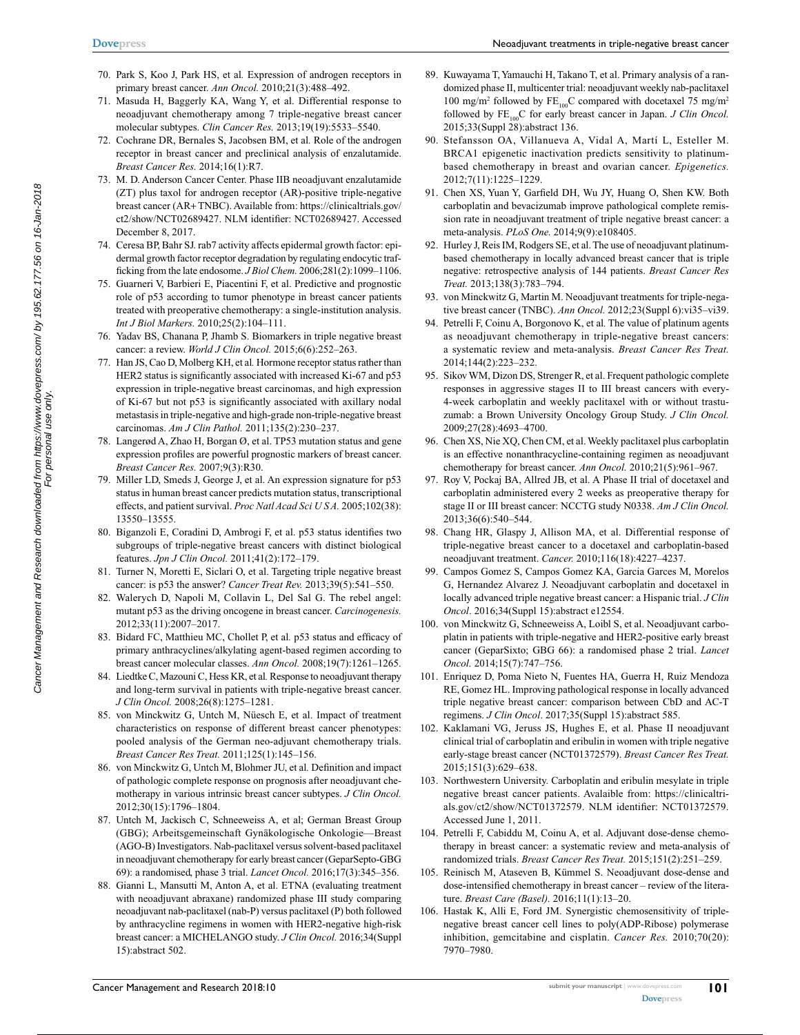- 70. Park S, Koo J, Park HS, et al*.* Expression of androgen receptors in primary breast cancer. *Ann Oncol.* 2010;21(3):488–492.
- 71. Masuda H, Baggerly KA, Wang Y, et al. Differential response to neoadjuvant chemotherapy among 7 triple-negative breast cancer molecular subtypes. *Clin Cancer Res.* 2013;19(19):5533–5540.
- 72. Cochrane DR, Bernales S, Jacobsen BM, et al*.* Role of the androgen receptor in breast cancer and preclinical analysis of enzalutamide. *Breast Cancer Res.* 2014;16(1):R7.
- 73. M. D. Anderson Cancer Center. Phase IIB neoadjuvant enzalutamide (ZT) plus taxol for androgen receptor (AR)-positive triple-negative breast cancer (AR+ TNBC). Available from: https://clinicaltrials.gov/ ct2/show/NCT02689427. NLM identifier: NCT02689427. Accessed December 8, 2017.
- 74. Ceresa BP, Bahr SJ. rab7 activity affects epidermal growth factor: epidermal growth factor receptor degradation by regulating endocytic trafficking from the late endosome. *J Biol Chem.* 2006;281(2):1099–1106.
- 75. Guarneri V, Barbieri E, Piacentini F, et al. Predictive and prognostic role of p53 according to tumor phenotype in breast cancer patients treated with preoperative chemotherapy: a single-institution analysis. *Int J Biol Markers.* 2010;25(2):104–111.
- 76. Yadav BS, Chanana P, Jhamb S. Biomarkers in triple negative breast cancer: a review. *World J Clin Oncol.* 2015;6(6):252–263.
- 77. Han JS, Cao D, Molberg KH, et al*.* Hormone receptor status rather than HER2 status is significantly associated with increased Ki-67 and p53 expression in triple-negative breast carcinomas, and high expression of Ki-67 but not p53 is significantly associated with axillary nodal metastasis in triple-negative and high-grade non-triple-negative breast carcinomas. *Am J Clin Pathol.* 2011;135(2):230–237.
- 78. Langerød A, Zhao H, Borgan Ø, et al. TP53 mutation status and gene expression profiles are powerful prognostic markers of breast cancer. *Breast Cancer Res.* 2007;9(3):R30.
- 79. Miller LD, Smeds J, George J, et al. An expression signature for p53 status in human breast cancer predicts mutation status, transcriptional effects, and patient survival. *Proc Natl Acad Sci U S A.* 2005;102(38): 13550–13555.
- 80. Biganzoli E, Coradini D, Ambrogi F, et al. p53 status identifies two subgroups of triple-negative breast cancers with distinct biological features. *Jpn J Clin Oncol.* 2011;41(2):172–179.
- 81. Turner N, Moretti E, Siclari O, et al. Targeting triple negative breast cancer: is p53 the answer? *Cancer Treat Rev.* 2013;39(5):541–550.
- 82. Walerych D, Napoli M, Collavin L, Del Sal G. The rebel angel: mutant p53 as the driving oncogene in breast cancer. *Carcinogenesis.* 2012;33(11):2007–2017.
- 83. Bidard FC, Matthieu MC, Chollet P, et al*.* p53 status and efficacy of primary anthracyclines/alkylating agent-based regimen according to breast cancer molecular classes. *Ann Oncol.* 2008;19(7):1261–1265.
- 84. Liedtke C, Mazouni C, Hess KR, et al*.* Response to neoadjuvant therapy and long-term survival in patients with triple-negative breast cancer. *J Clin Oncol.* 2008;26(8):1275–1281.
- 85. von Minckwitz G, Untch M, Nüesch E, et al. Impact of treatment characteristics on response of different breast cancer phenotypes: pooled analysis of the German neo-adjuvant chemotherapy trials. *Breast Cancer Res Treat.* 2011;125(1):145–156.
- 86. von Minckwitz G, Untch M, Blohmer JU, et al*.* Definition and impact of pathologic complete response on prognosis after neoadjuvant chemotherapy in various intrinsic breast cancer subtypes. *J Clin Oncol.* 2012;30(15):1796–1804.
- 87. Untch M, Jackisch C, Schneeweiss A, et al; German Breast Group (GBG); Arbeitsgemeinschaft Gynäkologische Onkologie—Breast (AGO-B) Investigators. Nab-paclitaxel versus solvent-based paclitaxel in neoadjuvant chemotherapy for early breast cancer (GeparSepto-GBG 69): a randomised, phase 3 trial. *Lancet Oncol.* 2016;17(3):345–356.
- 88. Gianni L, Mansutti M, Anton A, et al. ETNA (evaluating treatment with neoadjuvant abraxane) randomized phase III study comparing neoadjuvant nab-paclitaxel (nab-P) versus paclitaxel (P) both followed by anthracycline regimens in women with HER2-negative high-risk breast cancer: a MICHELANGO study. *J Clin Oncol.* 2016;34(Suppl 15):abstract 502.
- 89. Kuwayama T, Yamauchi H, Takano T, et al. Primary analysis of a randomized phase II, multicenter trial: neoadjuvant weekly nab-paclitaxel 100 mg/m<sup>2</sup> followed by  $FE_{100}C$  compared with docetaxel 75 mg/m<sup>2</sup> followed by  $FE_{100}C$  for early breast cancer in Japan. *J Clin Oncol.* 2015;33(Suppl 28):abstract 136.
- 90. Stefansson OA, Villanueva A, Vidal A, Martí L, Esteller M. BRCA1 epigenetic inactivation predicts sensitivity to platinumbased chemotherapy in breast and ovarian cancer. *Epigenetics.* 2012;7(11):1225–1229.
- 91. Chen XS, Yuan Y, Garfield DH, Wu JY, Huang O, Shen KW. Both carboplatin and bevacizumab improve pathological complete remission rate in neoadjuvant treatment of triple negative breast cancer: a meta-analysis. *PLoS One.* 2014;9(9):e108405.
- 92. Hurley J, Reis IM, Rodgers SE, et al. The use of neoadjuvant platinumbased chemotherapy in locally advanced breast cancer that is triple negative: retrospective analysis of 144 patients. *Breast Cancer Res Treat.* 2013;138(3):783–794.
- 93. von Minckwitz G, Martin M. Neoadjuvant treatments for triple-negative breast cancer (TNBC). *Ann Oncol.* 2012;23(Suppl 6):vi35–vi39.
- 94. Petrelli F, Coinu A, Borgonovo K, et al*.* The value of platinum agents as neoadjuvant chemotherapy in triple-negative breast cancers: a systematic review and meta-analysis. *Breast Cancer Res Treat.* 2014;144(2):223–232.
- 95. Sikov WM, Dizon DS, Strenger R, et al. Frequent pathologic complete responses in aggressive stages II to III breast cancers with every-4-week carboplatin and weekly paclitaxel with or without trastuzumab: a Brown University Oncology Group Study. *J Clin Oncol.* 2009;27(28):4693–4700.
- 96. Chen XS, Nie XQ, Chen CM, et al. Weekly paclitaxel plus carboplatin is an effective nonanthracycline-containing regimen as neoadjuvant chemotherapy for breast cancer. *Ann Oncol.* 2010;21(5):961–967.
- 97. Roy V, Pockaj BA, Allred JB, et al. A Phase II trial of docetaxel and carboplatin administered every 2 weeks as preoperative therapy for stage II or III breast cancer: NCCTG study N0338. *Am J Clin Oncol.* 2013;36(6):540–544.
- 98. Chang HR, Glaspy J, Allison MA, et al. Differential response of triple-negative breast cancer to a docetaxel and carboplatin-based neoadjuvant treatment. *Cancer.* 2010;116(18):4227–4237.
- 99. Campos Gomez S, Campos Gomez KA, Garcia Garces M, Morelos G, Hernandez Alvarez J. Neoadjuvant carboplatin and docetaxel in locally advanced triple negative breast cancer: a Hispanic trial. *J Clin Oncol*. 2016;34(Suppl 15):abstract e12554.
- 100. von Minckwitz G, Schneeweiss A, Loibl S, et al. Neoadjuvant carboplatin in patients with triple-negative and HER2-positive early breast cancer (GeparSixto; GBG 66): a randomised phase 2 trial. *Lancet Oncol.* 2014;15(7):747–756.
- 101. Enriquez D, Poma Nieto N, Fuentes HA, Guerra H, Ruiz Mendoza RE, Gomez HL. Improving pathological response in locally advanced triple negative breast cancer: comparison between CbD and AC-T regimens. *J Clin Oncol*. 2017;35(Suppl 15):abstract 585.
- 102. Kaklamani VG, Jeruss JS, Hughes E, et al. Phase II neoadjuvant clinical trial of carboplatin and eribulin in women with triple negative early-stage breast cancer (NCT01372579). *Breast Cancer Res Treat.* 2015;151(3):629–638.
- 103. Northwestern University. Carboplatin and eribulin mesylate in triple negative breast cancer patients. Avalaible from: https://clinicaltrials.gov/ct2/show/NCT01372579. NLM identifier: NCT01372579. Accessed June 1, 2011.
- 104. Petrelli F, Cabiddu M, Coinu A, et al. Adjuvant dose-dense chemotherapy in breast cancer: a systematic review and meta-analysis of randomized trials. *Breast Cancer Res Treat.* 2015;151(2):251–259.
- 105. Reinisch M, Ataseven B, Kümmel S. Neoadjuvant dose-dense and dose-intensified chemotherapy in breast cancer – review of the literature. *Breast Care (Basel).* 2016;11(1):13–20.
- 106. Hastak K, Alli E, Ford JM. Synergistic chemosensitivity of triplenegative breast cancer cell lines to poly(ADP-Ribose) polymerase inhibition, gemcitabine and cisplatin. *Cancer Res.* 2010;70(20): 7970–7980.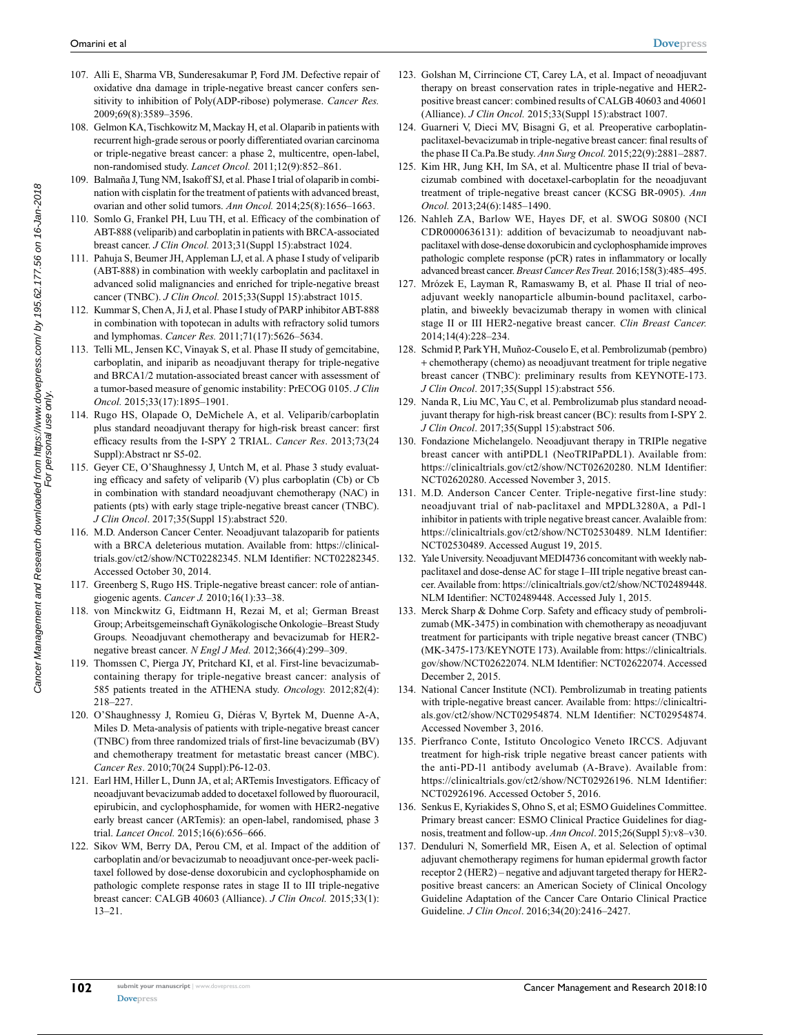- 107. Alli E, Sharma VB, Sunderesakumar P, Ford JM. Defective repair of oxidative dna damage in triple-negative breast cancer confers sensitivity to inhibition of Poly(ADP-ribose) polymerase. *Cancer Res.* 2009;69(8):3589–3596.
- 108. Gelmon KA, Tischkowitz M, Mackay H, et al. Olaparib in patients with recurrent high-grade serous or poorly differentiated ovarian carcinoma or triple-negative breast cancer: a phase 2, multicentre, open-label, non-randomised study. *Lancet Oncol.* 2011;12(9):852–861.
- 109. Balmaña J, Tung NM, Isakoff SJ, et al. Phase I trial of olaparib in combination with cisplatin for the treatment of patients with advanced breast, ovarian and other solid tumors. *Ann Oncol.* 2014;25(8):1656–1663.
- 110. Somlo G, Frankel PH, Luu TH, et al. Efficacy of the combination of ABT-888 (veliparib) and carboplatin in patients with BRCA-associated breast cancer. *J Clin Oncol.* 2013;31(Suppl 15):abstract 1024.
- 111. Pahuja S, Beumer JH, Appleman LJ, et al. A phase I study of veliparib (ABT-888) in combination with weekly carboplatin and paclitaxel in advanced solid malignancies and enriched for triple-negative breast cancer (TNBC). *J Clin Oncol.* 2015;33(Suppl 15):abstract 1015.
- 112. Kummar S, Chen A, Ji J, et al. Phase I study of PARP inhibitor ABT-888 in combination with topotecan in adults with refractory solid tumors and lymphomas. *Cancer Res.* 2011;71(17):5626–5634.
- 113. Telli ML, Jensen KC, Vinayak S, et al. Phase II study of gemcitabine, carboplatin, and iniparib as neoadjuvant therapy for triple-negative and BRCA1/2 mutation-associated breast cancer with assessment of a tumor-based measure of genomic instability: PrECOG 0105. *J Clin Oncol.* 2015;33(17):1895–1901.
- 114. Rugo HS, Olapade O, DeMichele A, et al. Veliparib/carboplatin plus standard neoadjuvant therapy for high-risk breast cancer: first efficacy results from the I-SPY 2 TRIAL. *Cancer Res*. 2013;73(24 Suppl):Abstract nr S5-02.
- 115. Geyer CE, O'Shaughnessy J, Untch M, et al. Phase 3 study evaluating efficacy and safety of veliparib (V) plus carboplatin (Cb) or Cb in combination with standard neoadjuvant chemotherapy (NAC) in patients (pts) with early stage triple-negative breast cancer (TNBC). *J Clin Oncol*. 2017;35(Suppl 15):abstract 520.
- 116. M.D. Anderson Cancer Center. Neoadjuvant talazoparib for patients with a BRCA deleterious mutation. Available from: https://clinicaltrials.gov/ct2/show/NCT02282345. NLM Identifier: NCT02282345. Accessed October 30, 2014.
- 117. Greenberg S, Rugo HS. Triple-negative breast cancer: role of antiangiogenic agents. *Cancer J.* 2010;16(1):33–38.
- 118. von Minckwitz G, Eidtmann H, Rezai M, et al; German Breast Group; Arbeitsgemeinschaft Gynäkologische Onkologie–Breast Study Groups*.* Neoadjuvant chemotherapy and bevacizumab for HER2 negative breast cancer. *N Engl J Med.* 2012;366(4):299–309.
- 119. Thomssen C, Pierga JY, Pritchard KI, et al. First-line bevacizumabcontaining therapy for triple-negative breast cancer: analysis of 585 patients treated in the ATHENA study. *Oncology.* 2012;82(4): 218–227.
- 120. O'Shaughnessy J, Romieu G, Diéras V, Byrtek M, Duenne A-A, Miles D*.* Meta-analysis of patients with triple-negative breast cancer (TNBC) from three randomized trials of first-line bevacizumab (BV) and chemotherapy treatment for metastatic breast cancer (MBC). *Cancer Res*. 2010;70(24 Suppl):P6-12-03.
- 121. Earl HM, Hiller L, Dunn JA, et al; ARTemis Investigators. Efficacy of neoadjuvant bevacizumab added to docetaxel followed by fluorouracil, epirubicin, and cyclophosphamide, for women with HER2-negative early breast cancer (ARTemis): an open-label, randomised, phase 3 trial. *Lancet Oncol.* 2015;16(6):656–666.
- 122. Sikov WM, Berry DA, Perou CM, et al. Impact of the addition of carboplatin and/or bevacizumab to neoadjuvant once-per-week paclitaxel followed by dose-dense doxorubicin and cyclophosphamide on pathologic complete response rates in stage II to III triple-negative breast cancer: CALGB 40603 (Alliance). *J Clin Oncol.* 2015;33(1): 13–21.
- 123. Golshan M, Cirrincione CT, Carey LA, et al. Impact of neoadjuvant therapy on breast conservation rates in triple-negative and HER2 positive breast cancer: combined results of CALGB 40603 and 40601 (Alliance). *J Clin Oncol.* 2015;33(Suppl 15):abstract 1007.
- 124. Guarneri V, Dieci MV, Bisagni G, et al*.* Preoperative carboplatinpaclitaxel-bevacizumab in triple-negative breast cancer: final results of the phase II Ca.Pa.Be study. *Ann Surg Oncol.* 2015;22(9):2881–2887.
- 125. Kim HR, Jung KH, Im SA, et al. Multicentre phase II trial of bevacizumab combined with docetaxel-carboplatin for the neoadjuvant treatment of triple-negative breast cancer (KCSG BR-0905). *Ann Oncol.* 2013;24(6):1485–1490.
- 126. Nahleh ZA, Barlow WE, Hayes DF, et al. SWOG S0800 (NCI CDR0000636131): addition of bevacizumab to neoadjuvant nabpaclitaxel with dose-dense doxorubicin and cyclophosphamide improves pathologic complete response (pCR) rates in inflammatory or locally advanced breast cancer. *Breast Cancer Res Treat.* 2016;158(3):485–495.
- 127. Mrózek E, Layman R, Ramaswamy B, et al*.* Phase II trial of neoadjuvant weekly nanoparticle albumin-bound paclitaxel, carboplatin, and biweekly bevacizumab therapy in women with clinical stage II or III HER2-negative breast cancer. *Clin Breast Cancer.* 2014;14(4):228–234.
- 128. Schmid P, Park YH, Muñoz-Couselo E, et al. Pembrolizumab (pembro) + chemotherapy (chemo) as neoadjuvant treatment for triple negative breast cancer (TNBC): preliminary results from KEYNOTE-173. *J Clin Oncol*. 2017;35(Suppl 15):abstract 556.
- 129. Nanda R, Liu MC, Yau C, et al. Pembrolizumab plus standard neoadjuvant therapy for high-risk breast cancer (BC): results from I-SPY 2. *J Clin Oncol*. 2017;35(Suppl 15):abstract 506.
- 130. Fondazione Michelangelo. Neoadjuvant therapy in TRIPle negative breast cancer with antiPDL1 (NeoTRIPaPDL1). Available from: https://clinicaltrials.gov/ct2/show/NCT02620280. NLM Identifier: NCT02620280. Accessed November 3, 2015.
- 131. M.D. Anderson Cancer Center. Triple-negative first-line study: neoadjuvant trial of nab-paclitaxel and MPDL3280A, a Pdl-1 inhibitor in patients with triple negative breast cancer. Avalaible from: https://clinicaltrials.gov/ct2/show/NCT02530489. NLM Identifier: NCT02530489. Accessed August 19, 2015.
- 132. Yale University. Neoadjuvant MEDI4736 concomitant with weekly nabpaclitaxel and dose-dense AC for stage I–III triple negative breast cancer. Available from: https://clinicaltrials.gov/ct2/show/NCT02489448. NLM Identifier: NCT02489448. Accessed July 1, 2015.
- 133. Merck Sharp & Dohme Corp. Safety and efficacy study of pembrolizumab (MK-3475) in combination with chemotherapy as neoadjuvant treatment for participants with triple negative breast cancer (TNBC) (MK-3475-173/KEYNOTE 173). Available from: https://clinicaltrials. gov/show/NCT02622074. NLM Identifier: NCT02622074. Accessed December 2, 2015.
- 134. National Cancer Institute (NCI). Pembrolizumab in treating patients with triple-negative breast cancer. Available from: https://clinicaltrials.gov/ct2/show/NCT02954874. NLM Identifier: NCT02954874. Accessed November 3, 2016.
- 135. Pierfranco Conte, Istituto Oncologico Veneto IRCCS. Adjuvant treatment for high-risk triple negative breast cancer patients with the anti-PD-l1 antibody avelumab (A-Brave). Available from: https://clinicaltrials.gov/ct2/show/NCT02926196. NLM Identifier: NCT02926196. Accessed October 5, 2016.
- 136. Senkus E, Kyriakides S, Ohno S, et al; ESMO Guidelines Committee. Primary breast cancer: ESMO Clinical Practice Guidelines for diagnosis, treatment and follow-up. *Ann Oncol*. 2015;26(Suppl 5):v8–v30.
- 137. Denduluri N, Somerfield MR, Eisen A, et al. Selection of optimal adjuvant chemotherapy regimens for human epidermal growth factor receptor 2 (HER2) – negative and adjuvant targeted therapy for HER2 positive breast cancers: an American Society of Clinical Oncology Guideline Adaptation of the Cancer Care Ontario Clinical Practice Guideline. *J Clin Oncol*. 2016;34(20):2416–2427.